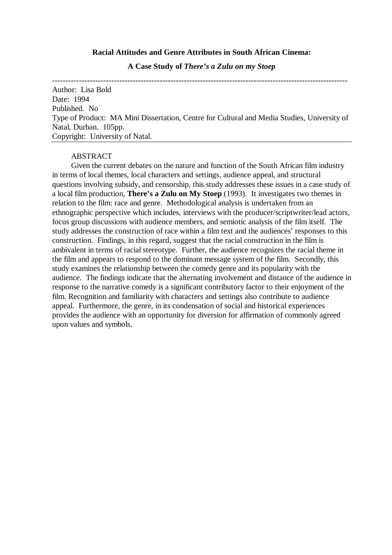### **Racial Attitudes and Genre Attributes in South African Cinema:**

**A Case Study of** *There's a Zulu on my Stoep*

-------------------------------------------------------------------------------------------------------------- Author: Lisa Bold Date: 1994 Published. No Type of Product: MA Mini Dissertation, Centre for Cultural and Media Studies, University of Natal, Durban. 105pp. Copyright: University of Natal.

# ABSTRACT

Given the current debates on the nature and function of the South African film industry in terms of local themes, local characters and settings, audience appeal, and structural questions involving subsidy, and censorship, this study addresses these issues in a case study of a local film production, **There's a Zulu on My Stoep** (1993). It investigates two themes in relation to the film: race and genre. Methodological analysis is undertaken from an ethnographic perspective which includes, interviews with the producer/scriptwriter/lead actors, focus group discussions with audience members, and semiotic analysis of the film itself. The study addresses the construction of race within a film text and the audiences' responses to this construction. Findings, in this regard, suggest that the racial construction in the film is ambivalent in terms of racial stereotype. Further, the audience recognizes the racial theme in the film and appears to respond to the dominant message system of the film. Secondly, this study examines the relationship between the comedy genre and its popularity with the audience. The findings indicate that the alternating involvement and distance of the audience in response to the narrative comedy is a significant contributory factor to their enjoyment of the film. Recognition and familiarity with characters and settings also contribute to audience appeal. Furthermore, the genre, in its condensation of social and historical experiences provides the audience with an opportunity for diversion for affirmation of commonly agreed upon values and symbols.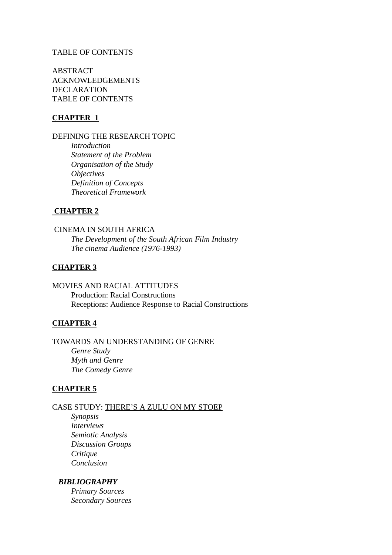# TABLE OF CONTENTS

ABSTRACT ACKNOWLEDGEMENTS DECLARATION TABLE OF CONTENTS

# **CHAPTER 1**

DEFINING THE RESEARCH TOPIC

*Introduction Statement of the Problem Organisation of the Study Objectives Definition of Concepts Theoretical Framework*

#### **CHAPTER 2**

 CINEMA IN SOUTH AFRICA *The Development of the South African Film Industry The cinema Audience (1976-1993)*

# **CHAPTER 3**

MOVIES AND RACIAL ATTITUDES Production: Racial Constructions Receptions: Audience Response to Racial Constructions

# **CHAPTER 4**

TOWARDS AN UNDERSTANDING OF GENRE *Genre Study Myth and Genre The Comedy Genre*

# **CHAPTER 5**

CASE STUDY: THERE'S A ZULU ON MY STOEP

*Synopsis Interviews Semiotic Analysis Discussion Groups Critique Conclusion*

# *BIBLIOGRAPHY*

*Primary Sources Secondary Sources*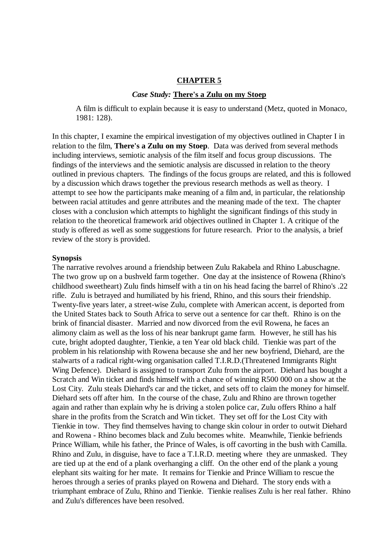#### **CHAPTER 5**

#### *Case Study:* **There's a Zulu on my Stoep**

A film is difficult to explain because it is easy to understand (Metz, quoted in Monaco, 1981: 128).

In this chapter, I examine the empirical investigation of my objectives outlined in Chapter I in relation to the film, **There's a Zulu on my Stoep**. Data was derived from several methods including interviews, semiotic analysis of the film itself and focus group discussions. The findings of the interviews and the semiotic analysis are discussed in relation to the theory outlined in previous chapters. The findings of the focus groups are related, and this is followed by a discussion which draws together the previous research methods as well as theory. I attempt to see how the participants make meaning of a film and, in particular, the relationship between racial attitudes and genre attributes and the meaning made of the text. The chapter closes with a conclusion which attempts to highlight the significant findings of this study in relation to the theoretical framework arid objectives outlined in Chapter 1. A critique of the study is offered as well as some suggestions for future research. Prior to the analysis, a brief review of the story is provided.

#### **Synopsis**

The narrative revolves around a friendship between Zulu Rakabela and Rhino Labuschagne. The two grow up on a bushveld farm together. One day at the insistence of Rowena (Rhino's childhood sweetheart) Zulu finds himself with a tin on his head facing the barrel of Rhino's .22 rifle. Zulu is betrayed and humiliated by his friend, Rhino, and this sours their friendship. Twenty-five years later, a street-wise Zulu, complete with American accent, is deported from the United States back to South Africa to serve out a sentence for car theft.Rhino is on the brink of financial disaster. Married and now divorced from the evil Rowena, he faces an alimony claim as well as the loss of his near bankrupt game farm. However, he still has his cute, bright adopted daughter, Tienkie, a ten Year old black child. Tienkie was part of the problem in his relationship with Rowena because she and her new boyfriend, Diehard, are the stalwarts of a radical right-wing organisation called T.I.R.D.(Threatened Immigrants Right Wing Defence). Diehard is assigned to transport Zulu from the airport. Diehard has bought a Scratch and Win ticket and finds himself with a chance of winning R500 000 on a show at the Lost City. Zulu steals Diehard's car and the ticket, and sets off to claim the money for himself. Diehard sets off after him. In the course of the chase, Zulu and Rhino are thrown together again and rather than explain why he is driving a stolen police car, Zulu offers Rhino a half share in the profits from the Scratch and Win ticket. They set off for the Lost City with Tienkie in tow. They find themselves having to change skin colour in order to outwit Diehard and Rowena - Rhino becomes black and Zulu becomes white. Meanwhile, Tienkie befriends Prince William, while his father, the Prince of Wales, is off cavorting in the bush with Camilla. Rhino and Zulu, in disguise, have to face a T.I.R.D. meeting where they are unmasked. They are tied up at the end of a plank overhanging a cliff. On the other end of the plank a young elephant sits waiting for her mate. It remains for Tienkie and Prince William to rescue the heroes through a series of pranks played on Rowena and Diehard. The story ends with a triumphant embrace of Zulu, Rhino and Tienkie. Tienkie realises Zulu is her real father. Rhino and Zulu's differences have been resolved.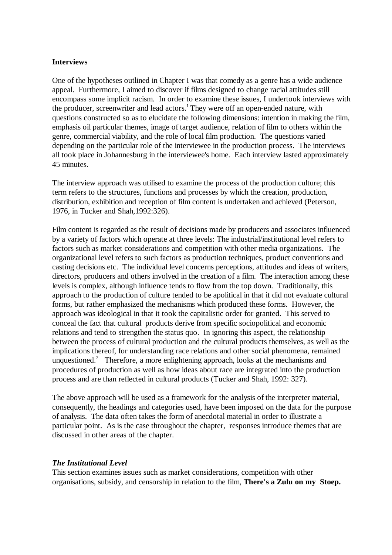# **Interviews**

One of the hypotheses outlined in Chapter I was that comedy as a genre has a wide audience appeal. Furthermore, I aimed to discover if films designed to change racial attitudes still encompass some implicit racism. In order to examine these issues, I undertook interviews with the producer, screenwriter and lead actors.<sup>1</sup> They were off an open-ended nature, with questions constructed so as to elucidate the following dimensions: intention in making the film, emphasis oil particular themes, image of target audience, relation of film to others within the genre, commercial viability, and the role of local film production. The questions varied depending on the particular role of the interviewee in the production process. The interviews all took place in Johannesburg in the interviewee's home. Each interview lasted approximately 45 minutes.

The interview approach was utilised to examine the process of the production culture; this term refers to the structures, functions and processes by which the creation, production, distribution, exhibition and reception of film content is undertaken and achieved (Peterson, 1976, in Tucker and Shah,1992:326).

Film content is regarded as the result of decisions made by producers and associates influenced by a variety of factors which operate at three levels: The industrial/institutional level refers to factors such as market considerations and competition with other media organizations. The organizational level refers to such factors as production techniques, product conventions and casting decisions etc. The individual level concerns perceptions, attitudes and ideas of writers, directors, producers and others involved in the creation of a film. The interaction among these levels is complex, although influence tends to flow from the top down. Traditionally, this approach to the production of culture tended to be apolitical in that it did not evaluate cultural forms, but rather emphasized the mechanisms which produced these forms. However, the approach was ideological in that it took the capitalistic order for granted. This served to conceal the fact that cultural products derive from specific sociopolitical and economic relations and tend to strengthen the status quo. In ignoring this aspect, the relationship between the process of cultural production and the cultural products themselves, as well as the implications thereof, for understanding race relations and other social phenomena, remained unquestioned.<sup>2</sup> Therefore, a more enlightening approach, looks at the mechanisms and procedures of production as well as how ideas about race are integrated into the production process and are than reflected in cultural products (Tucker and Shah, 1992: 327).

The above approach will be used as a framework for the analysis of the interpreter material, consequently, the headings and categories used, have been imposed on the data for the purpose of analysis. The data often takes the form of anecdotal material in order to illustrate a particular point. As is the case throughout the chapter, responses introduce themes that are discussed in other areas of the chapter.

#### *The Institutional Level*

This section examines issues such as market considerations, competition with other organisations, subsidy, and censorship in relation to the film, **There's a Zulu on my Stoep.**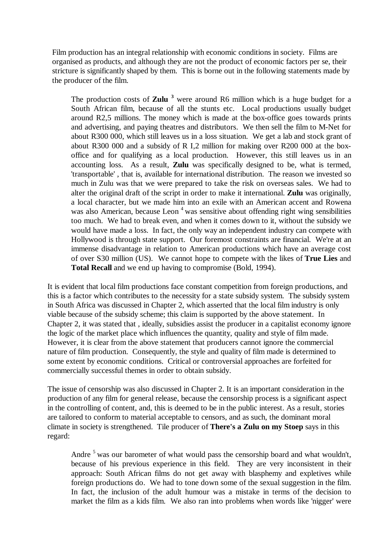Film production has an integral relationship with economic conditions in society. Films are organised as products, and although they are not the product of economic factors per se, their stricture is significantly shaped by them. This is borne out in the following statements made by the producer of the film.

The production costs of **Zulu <sup>3</sup>** were around R6 million which is a huge budget for a South African film, because of all the stunts etc. Local productions usually budget around R2,5 millions. The money which is made at the box-office goes towards prints and advertising, and paying theatres and distributors. We then sell the film to M-Net for about R300 000, which still leaves us in a loss situation. We get a lab and stock grant of about R300 000 and a subsidy of R I,2 million for making over R200 000 at the boxoffice and for qualifying as a local production. However, this still leaves us in an accounting loss. As a result, **Zulu** was specifically designed to be, what is termed, 'transportable' , that is, available for international distribution. The reason we invested so much in Zulu was that we were prepared to take the risk on overseas sales. We had to alter the original draft of the script in order to make it international. **Zulu** was originally, a local character, but we made him into an exile with an American accent and Rowena was also American, because Leon<sup> $4$ </sup> was sensitive about offending right wing sensibilities too much. We had to break even, and when it comes down to it, without the subsidy we would have made a loss. In fact, the only way an independent industry can compete with Hollywood is through state support. Our foremost constraints are financial. We're at an immense disadvantage in relation to American productions which have an average cost of over S30 million (US). We cannot hope to compete with the likes of **True Lies** and **Total Recall** and we end up having to compromise (Bold, 1994).

It is evident that local film productions face constant competition from foreign productions, and this is a factor which contributes to the necessity for a state subsidy system. The subsidy system in South Africa was discussed in Chapter 2, which asserted that the local film industry is only viable because of the subsidy scheme; this claim is supported by the above statement. In Chapter 2, it was stated that , ideally, subsidies assist the producer in a capitalist economy ignore the logic of the market place which influences the quantity, quality and style of film made. However, it is clear from the above statement that producers cannot ignore the commercial nature of film production. Consequently, the style and quality of film made is determined to some extent by economic conditions. Critical or controversial approaches are forfeited for commercially successful themes in order to obtain subsidy.

The issue of censorship was also discussed in Chapter 2. It is an important consideration in the production of any film for general release, because the censorship process is a significant aspect in the controlling of content, and, this is deemed to be in the public interest. As a result, stories are tailored to conform to material acceptable to censors, and as such, the dominant moral climate in society is strengthened. Tile producer of **There's a Zulu on my Stoep** says in this regard:

Andre  $<sup>5</sup>$  was our barometer of what would pass the censorship board and what wouldn't,</sup> because of his previous experience in this field. They are very inconsistent in their approach: South African films do not get away with blasphemy and expletives while foreign productions do. We had to tone down some of the sexual suggestion in the film. In fact, the inclusion of the adult humour was a mistake in terms of the decision to market the film as a kids film. We also ran into problems when words like 'nigger' were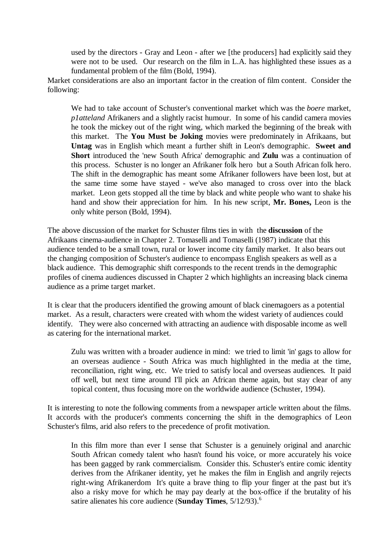used by the directors - Gray and Leon - after we [the producers] had explicitly said they were not to be used. Our research on the film in L.A. has highlighted these issues as a fundamental problem of the film (Bold, 1994).

Market considerations are also an important factor in the creation of film content. Consider the following:

We had to take account of Schuster's conventional market which was the *boere* market, *p1atteland* Afrikaners and a slightly racist humour. In some of his candid camera movies he took the mickey out of the right wing, which marked the beginning of the break with this market. The **You Must be Joking** movies were predominately in Afrikaans, but **Untag** was in English which meant a further shift in Leon's demographic. **Sweet and Short** introduced the 'new South Africa' demographic and **Zulu** was a continuation of this process. Schuster is no longer an Afrikaner folk hero but a South African folk hero. The shift in the demographic has meant some Afrikaner followers have been lost, but at the same time some have stayed - we've also managed to cross over into the black market. Leon gets stopped all the time by black and white people who want to shake his hand and show their appreciation for him. In his new script, **Mr. Bones,** Leon is the only white person (Bold, 1994).

The above discussion of the market for Schuster films ties in with the **discussion** of the Afrikaans cinema-audience in Chapter 2. Tomaselli and Tomaselli (1987) indicate that this audience tended to be a small town, rural or lower income city family market. It also bears out the changing composition of Schuster's audience to encompass English speakers as well as a black audience. This demographic shift corresponds to the recent trends in the demographic profiles of cinema audiences discussed in Chapter 2 which highlights an increasing black cinema audience as a prime target market.

It is clear that the producers identified the growing amount of black cinemagoers as a potential market. As a result, characters were created with whom the widest variety of audiences could identify. They were also concerned with attracting an audience with disposable income as well as catering for the international market.

Zulu was written with a broader audience in mind: we tried to limit 'in' gags to allow for an overseas audience - South Africa was much highlighted in the media at the time, reconciliation, right wing, etc. We tried to satisfy local and overseas audiences. It paid off well, but next time around I'll pick an African theme again, but stay clear of any topical content, thus focusing more on the worldwide audience (Schuster, 1994).

It is interesting to note the following comments from a newspaper article written about the films. It accords with the producer's comments concerning the shift in the demographics of Leon Schuster's films, arid also refers to the precedence of profit motivation.

In this film more than ever I sense that Schuster is a genuinely original and anarchic South African comedy talent who hasn't found his voice, or more accurately his voice has been gagged by rank commercialism. Consider this. Schuster's entire comic identity derives from the Afrikaner identity, yet he makes the film in English and angrily rejects right-wing Afrikanerdom It's quite a brave thing to flip your finger at the past but it's also a risky move for which he may pay dearly at the box-office if the brutality of his satire alienates his core audience (**Sunday Times**, 5/12/93).<sup>6</sup>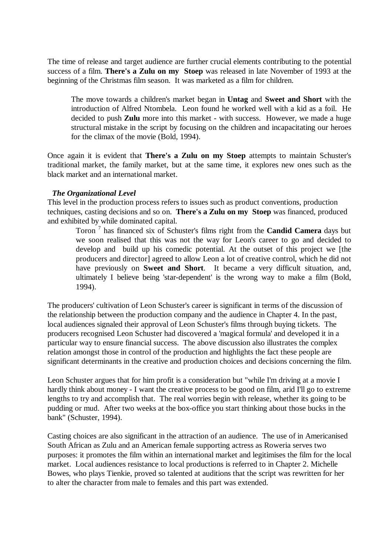The time of release and target audience are further crucial elements contributing to the potential success of a film. **There's a Zulu on my Stoep** was released in late November of 1993 at the beginning of the Christmas film season. It was marketed as a film for children.

The move towards a children's market began in **Untag** and **Sweet and Short** with the introduction of Alfred Ntombela. Leon found he worked well with a kid as a foil. He decided to push **Zulu** more into this market - with success. However, we made a huge structural mistake in the script by focusing on the children and incapacitating our heroes for the climax of the movie (Bold, 1994).

Once again it is evident that **There's a Zulu on my Stoep** attempts to maintain Schuster's traditional market, the family market, but at the same time, it explores new ones such as the black market and an international market.

# *The Organizational Level*

This level in the production process refers to issues such as product conventions, production techniques, casting decisions and so on. **There's a Zulu on my Stoep** was financed, produced and exhibited by while dominated capital.

Toron <sup>7</sup> has financed six of Schuster's films right from the **Candid Camera** days but we soon realised that this was not the way for Leon's career to go and decided to develop and build up his comedic potential. At the outset of this project we [the producers and director] agreed to allow Leon a lot of creative control, which he did not have previously on **Sweet and Short**. It became a very difficult situation, and, ultimately I believe being 'star-dependent' is the wrong way to make a film (Bold, 1994).

The producers' cultivation of Leon Schuster's career is significant in terms of the discussion of the relationship between the production company and the audience in Chapter 4. In the past, local audiences signaled their approval of Leon Schuster's films through buying tickets. The producers recognised Leon Schuster had discovered a 'magical formula' and developed it in a particular way to ensure financial success. The above discussion also illustrates the complex relation amongst those in control of the production and highlights the fact these people are significant determinants in the creative and production choices and decisions concerning the film.

Leon Schuster argues that for him profit is a consideration but "while I'm driving at a movie I hardly think about money - I want the creative process to be good on film, arid I'll go to extreme lengths to try and accomplish that. The real worries begin with release, whether its going to be pudding or mud. After two weeks at the box-office you start thinking about those bucks in the bank" (Schuster, 1994).

Casting choices are also significant in the attraction of an audience. The use of in Americanised South African as Zulu and an American female supporting actress as Roweria serves two purposes: it promotes the film within an international market and legitimises the film for the local market. Local audiences resistance to local productions is referred to in Chapter 2. Michelle Bowes, who plays Tienkie, proved so talented at auditions that the script was rewritten for her to alter the character from male to females and this part was extended.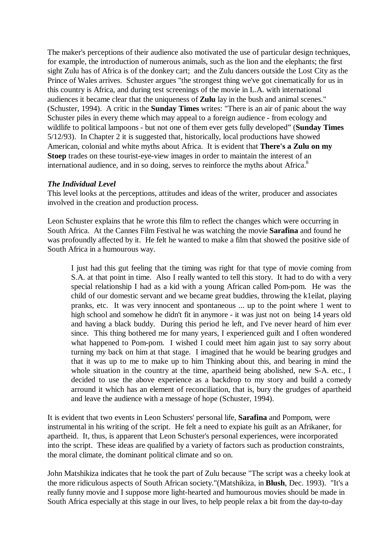The maker's perceptions of their audience also motivated the use of particular design techniques, for example, the introduction of numerous animals, such as the lion and the elephants; the first sight Zulu has of Africa is of the donkey cart; and the Zulu dancers outside the Lost City as the Prince of Wales arrives. Schuster argues "the strongest thing we've got cinematically for us in this country is Africa, and during test screenings of the movie in L.A. with international audiences it became clear that the uniqueness of **Zulu** lay in the bush and animal scenes." (Schuster, 1994). A critic in the **Sunday Times** writes: "There is an air of panic about the way Schuster piles in every theme which may appeal to a foreign audience - from ecology and wildlife to political lampoons - but not one of them ever gets fully developed" (**Sunday Times** 5/12/93). In Chapter 2 it is suggested that, historically, local productions have showed American, colonial and white myths about Africa. It is evident that **There's a Zulu on my Stoep** trades on these tourist-eye-view images in order to maintain the interest of an international audience, and in so doing, serves to reinforce the myths about Africa.<sup>8</sup>

# *The Individual Level*

This level looks at the perceptions, attitudes and ideas of the writer, producer and associates involved in the creation and production process.

Leon Schuster explains that he wrote this film to reflect the changes which were occurring in South Africa. At the Cannes Film Festival he was watching the movie **Sarafina** and found he was profoundly affected by it. He felt he wanted to make a film that showed the positive side of South Africa in a humourous way.

I just had this gut feeling that the timing was right for that type of movie coming from S.A. at that point in time. Also I really wanted to tell this story. It had to do with a very special relationship I had as a kid with a young African called Pom-pom. He was the child of our domestic servant and we became great buddies, throwing the k1eilat, playing pranks, etc. It was very innocent and spontaneous ... up to the point where 1 went to high school and somehow he didn't fit in anymore - it was just not on being 14 years old and having a black buddy. During this period he left, and I've never heard of him ever since. This thing bothered me for many years, I experienced guilt and I often wondered what happened to Pom-pom. I wished I could meet him again just to say sorry about turning my back on him at that stage. I imagined that he would be bearing grudges and that it was up to me to make up to him Thinking about this, and bearing in mind the whole situation in the country at the time, apartheid being abolished, new S-A. etc., I decided to use the above experience as a backdrop to my story and build a comedy arround it which has an element of reconciliation, that is, bury the grudges of apartheid and leave the audience with a message of hope (Schuster, 1994).

It is evident that two events in Leon Schusters' personal life, **Sarafina** and Pompom, were instrumental in his writing of the script. He felt a need to expiate his guilt as an Afrikaner, for apartheid. It, thus, is apparent that Leon Schuster's personal experiences, were incorporated into the script. These ideas are qualified by a variety of factors such as production constraints, the moral climate, the dominant political climate and so on.

John Matshikiza indicates that he took the part of Zulu because "The script was a cheeky look at the more ridiculous aspects of South African society."(Matshikiza, in **Blush**, Dec. 1993). "It's a really funny movie and I suppose more light-hearted and humourous movies should be made in South Africa especially at this stage in our lives, to help people relax a bit from the day-to-day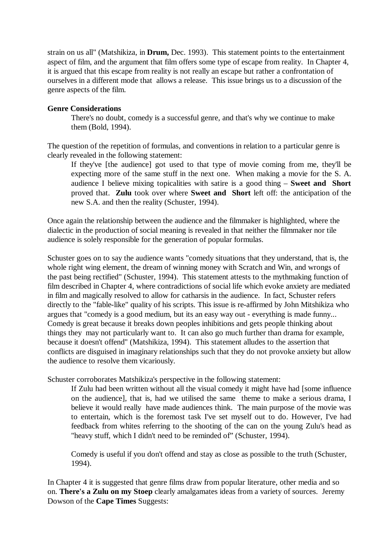strain on us all" (Matshikiza, in **Drum,** Dec. 1993). This statement points to the entertainment aspect of film, and the argument that film offers some type of escape from reality. In Chapter 4, it is argued that this escape from reality is not really an escape but rather a confrontation of ourselves in a different mode that allows a release. This issue brings us to a discussion of the genre aspects of the film.

# **Genre Considerations**

There's no doubt, comedy is a successful genre, and that's why we continue to make them (Bold, 1994).

The question of the repetition of formulas, and conventions in relation to a particular genre is clearly revealed in the following statement:

If they've [the audience] got used to that type of movie coming from me, they'll be expecting more of the same stuff in the next one. When making a movie for the S. A. audience I believe mixing topicalities with satire is a good thing – **Sweet and Short** proved that. **Zulu** took over where **Sweet and Short** left off: the anticipation of the new S.A. and then the reality (Schuster, 1994).

Once again the relationship between the audience and the filmmaker is highlighted, where the dialectic in the production of social meaning is revealed in that neither the filmmaker nor tile audience is solely responsible for the generation of popular formulas.

Schuster goes on to say the audience wants "comedy situations that they understand, that is, the whole right wing element, the dream of winning money with Scratch and Win, and wrongs of the past being rectified" (Schuster, 1994). This statement attests to the mythmaking function of film described in Chapter 4, where contradictions of social life which evoke anxiety are mediated in film and magically resolved to allow for catharsis in the audience. In fact, Schuster refers directly to the "fable-like" quality of his scripts. This issue is re-affirmed by John Mitshikiza who argues that "comedy is a good medium, but its an easy way out - everything is made funny... Comedy is great because it breaks down peoples inhibitions and gets people thinking about things they may not particularly want to. It can also go much further than drama for example, because it doesn't offend" (Matshikiza, 1994). This statement alludes to the assertion that conflicts are disguised in imaginary relationships such that they do not provoke anxiety but allow the audience to resolve them vicariously.

Schuster corroborates Matshikiza's perspective in the following statement:

If Zulu had been written without all the visual comedy it might have had [some influence on the audience], that is, had we utilised the same theme to make a serious drama, I believe it would really have made audiences think. The main purpose of the movie was to entertain, which is the foremost task I've set myself out to do. However, I've had feedback from whites referring to the shooting of the can on the young Zulu's head as "heavy stuff, which I didn't need to be reminded of" (Schuster, 1994).

Comedy is useful if you don't offend and stay as close as possible to the truth (Schuster, 1994).

In Chapter 4 it is suggested that genre films draw from popular literature, other media and so on. **There's a Zulu on my Stoep** clearly amalgamates ideas from a variety of sources. Jeremy Dowson of the **Cape Times** Suggests: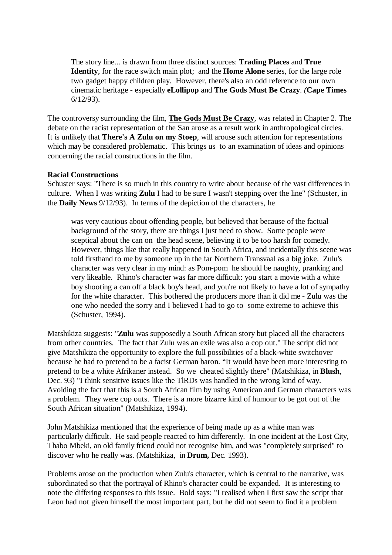The story line... is drawn from three distinct sources: **Trading Places** and **True Identity**, for the race switch main plot; and the **Home Alone** series, for the large role two gadget happy children play. However, there's also an odd reference to our own cinematic heritage - especially **eLollipop** and **The Gods Must Be Crazy**. *(***Cape Times** 6/12/93).

The controversy surrounding the film, **The Gods Must Be Crazy**, was related in Chapter 2. The debate on the racist representation of the San arose as a result work in anthropological circles. It is unlikely that **There's A Zulu on my Stoep**, will arouse such attention for representations which may be considered problematic. This brings us to an examination of ideas and opinions concerning the racial constructions in the film.

# **Racial Constructions**

Schuster says: "There is so much in this country to write about because of the vast differences in culture. When I was writing **Zulu** I had to be sure I wasn't stepping over the line" (Schuster, in the **Daily News** 9/12/93). In terms of the depiction of the characters, he

was very cautious about offending people, but believed that because of the factual background of the story, there are things I just need to show. Some people were sceptical about the can on the head scene, believing it to be too harsh for comedy. However, things like that really happened in South Africa, and incidentally this scene was told firsthand to me by someone up in the far Northern Transvaal as a big joke. Zulu's character was very clear in my mind: as Pom-pom he should be naughty, pranking and very likeable. Rhino's character was far more difficult: you start a movie with a white boy shooting a can off a black boy's head, and you're not likely to have a lot of sympathy for the white character. This bothered the producers more than it did me - Zulu was the one who needed the sorry and I believed I had to go to some extreme to achieve this (Schuster, 1994).

Matshikiza suggests: "**Zulu** was supposedly a South African story but placed all the characters from other countries. The fact that Zulu was an exile was also a cop out." The script did not give Matshikiza the opportunity to explore the full possibilities of a black-white switchover because he had to pretend to be a facist German baron. "It would have been more interesting to pretend to be a white Afrikaner instead. So wecheated slightly there" (Matshikiza, in **Blush**, Dec. 93) "I think sensitive issues like the TlRDs was handled in the wrong kind of way. Avoiding the fact that this is a South African film by using American and German characters was a problem. They were cop outs. There is a more bizarre kind of humour to be got out of the South African situation" (Matshikiza, 1994).

John Matshikiza mentioned that the experience of being made up as a white man was particularly difficult. He said people reacted to him differently. In one incident at the Lost City, Thabo Mbeki, an old family friend could not recognise him, and was "completely surprised" to discover who he really was. (Matshikiza, in **Drum,** Dec. 1993).

Problems arose on the production when Zulu's character, which is central to the narrative, was subordinated so that the portrayal of Rhino's character could be expanded. It is interesting to note the differing responses to this issue. Bold says: "I realised when I first saw the script that Leon had not given himself the most important part, but he did not seem to find it a problem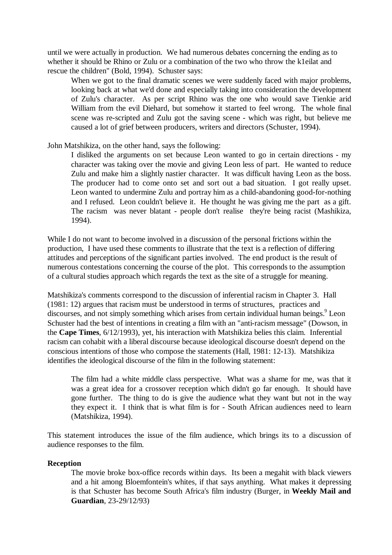until we were actually in production. We had numerous debates concerning the ending as to whether it should be Rhino or Zulu or a combination of the two who throw the k1eilat and rescue the children" (Bold, 1994). Schuster says:

When we got to the final dramatic scenes we were suddenly faced with major problems, looking back at what we'd done and especially taking into consideration the development of Zulu's character. As per script Rhino was the one who would save Tienkie arid William from the evil Diehard, but somehow it started to feel wrong. The whole final scene was re-scripted and Zulu got the saving scene - which was right, but believe me caused a lot of grief between producers, writers and directors (Schuster, 1994).

# John Matshikiza, on the other hand, says the following:

I disliked the arguments on set because Leon wanted to go in certain directions - my character was taking over the movie and giving Leon less of part. He wanted to reduce Zulu and make him a slightly nastier character. It was difficult having Leon as the boss. The producer had to come onto set and sort out a bad situation. I got really upset. Leon wanted to undermine Zulu and portray him as a child-abandoning good-for-nothing and I refused. Leon couldn't believe it. He thought he was giving me the part as a gift. The racism was never blatant - people don't realise they're being racist (Mashikiza, 1994).

While I do not want to become involved in a discussion of the personal frictions within the production, I have used these comments to illustrate that the text is a reflection of differing attitudes and perceptions of the significant parties involved. The end product is the result of numerous contestations concerning the course of the plot. This corresponds to the assumption of a cultural studies approach which regards the text as the site of a struggle for meaning.

Matshikiza's comments correspond to the discussion of inferential racism in Chapter 3. Hall (1981: 12) argues that racism must be understood in terms of structures, practices and discourses, and not simply something which arises from certain individual human beings. <sup>9</sup> Leon Schuster had the best of intentions in creating a film with an "anti-racism message" (Dowson, in the **Cape Times**, 6/12/1993), yet, his interaction with Matshikiza belies this claim. Inferential racism can cohabit with a liberal discourse because ideological discourse doesn't depend on the conscious intentions of those who compose the statements (Hall, 1981: 12-13). Matshikiza identifies the ideological discourse of the film in the following statement:

The film had a white middle class perspective. What was a shame for me, was that it was a great idea for a crossover reception which didn't go far enough. It should have gone further. The thing to do is give the audience what they want but not in the way they expect it. I think that is what film is for - South African audiences need to learn (Matshikiza, 1994).

This statement introduces the issue of the film audience, which brings its to a discussion of audience responses to the film.

#### **Reception**

The movie broke box-office records within days. Its been a megahit with black viewers and a hit among Bloemfontein's whites, if that says anything. What makes it depressing is that Schuster has become South Africa's film industry (Burger, in **Weekly Mail and Guardian**, 23-29/12/93)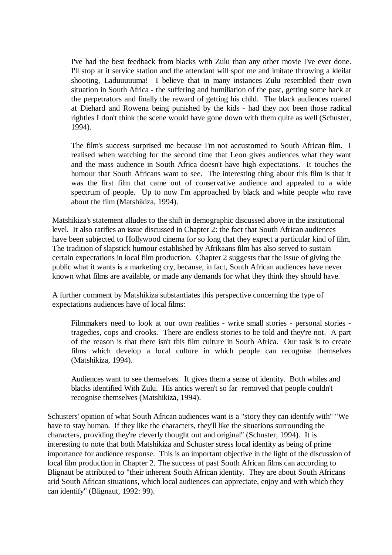I've had the best feedback from blacks with Zulu than any other movie I've ever done. I'll stop at it service station and the attendant will spot me and imitate throwing a kleilat shooting, Laduuuuuma! I believe that in many instances Zulu resembled their own situation in South Africa - the suffering and humiliation of the past, getting some back at the perpetrators and finally the reward of getting his child. The black audiences roared at Diehard and Rowena being punished by the kids - had they not been those radical righties I don't think the scene would have gone down with them quite as well (Schuster, 1994).

The film's success surprised me because I'm not accustomed to South African film. I realised when watching for the second time that Leon gives audiences what they want and the mass audience in South Africa doesn't have high expectations. It touches the humour that South Africans want to see. The interesting thing about this film is that it was the first film that came out of conservative audience and appealed to a wide spectrum of people. Up to now I'm approached by black and white people who rave about the film (Matshikiza, 1994).

Matshikiza's statement alludes to the shift in demographic discussed above in the institutional level. It also ratifies an issue discussed in Chapter 2: the fact that South African audiences have been subjected to Hollywood cinema for so long that they expect a particular kind of film. The tradition of slapstick humour established by Afrikaans film has also served to sustain certain expectations in local film production. Chapter 2 suggests that the issue of giving the public what it wants is a marketing cry, because, in fact, South African audiences have never known what films are available, or made any demands for what they think they should have.

A further comment by Matshikiza substantiates this perspective concerning the type of expectations audiences have of local films:

Filmmakers need to look at our own realities - write small stories - personal stories tragedies, cops and crooks. There are endless stories to be told and they're not. A part of the reason is that there isn't this film culture in South Africa. Our task is to create films which develop a local culture in which people can recognise themselves (Matshikiza, 1994).

Audiences want to see themselves. It gives them a sense of identity. Both whiles and blacks identified With Zulu. His antics weren't so far removed that people couldn't recognise themselves (Matshikiza, 1994).

Schusters' opinion of what South African audiences want is a "story they can identify with" "We have to stay human. If they like the characters, they'll like the situations surrounding the characters, providing they're cleverly thought out and original" (Schuster, 1994). It is interesting to note that both Matshikiza and Schuster stress local identity as being of prime importance for audience response. This is an important objective in the light of the discussion of local film production in Chapter 2. The success of past South African films can according to Blignaut be attributed to "their inherent South African identity. They are about South Africans arid South African situations, which local audiences can appreciate, enjoy and with which they can identify" (Blignaut, 1992: 99).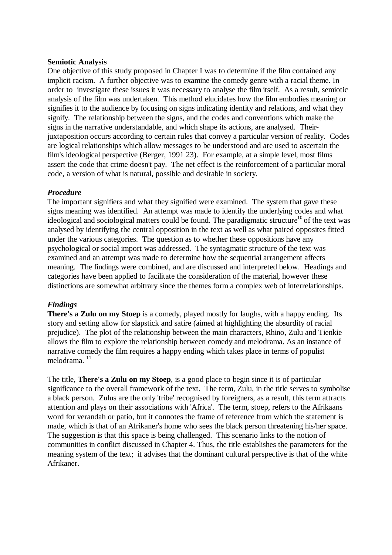# **Semiotic Analysis**

One objective of this study proposed in Chapter I was to determine if the film contained any implicit racism. A further objective was to examine the comedy genre with a racial theme. In order to investigate these issues it was necessary to analyse the film itself. As a result, semiotic analysis of the film was undertaken. This method elucidates how the film embodies meaning or signifies it to the audience by focusing on signs indicating identity and relations, and what they signify. The relationship between the signs, and the codes and conventions which make the signs in the narrative understandable, and which shape its actions, are analysed. Theirjuxtaposition occurs according to certain rules that convey a particular version of reality. Codes are logical relationships which allow messages to be understood and are used to ascertain the film's ideological perspective (Berger, 1991 23). For example, at a simple level, most films assert the code that crime doesn't pay. The net effect is the reinforcement of a particular moral code, a version of what is natural, possible and desirable in society.

# *Procedure*

The important signifiers and what they signified were examined. The system that gave these signs meaning was identified. An attempt was made to identify the underlying codes and what ideological and sociological matters could be found. The paradigmatic structure<sup>10</sup> of the text was analysed by identifying the central opposition in the text as well as what paired opposites fitted under the various categories. The question as to whether these oppositions have any psychological or social import was addressed. The syntagmatic structure of the text was examined and an attempt was made to determine how the sequential arrangement affects meaning. The findings were combined, and are discussed and interpreted below. Headings and categories have been applied to facilitate the consideration of the material, however these distinctions are somewhat arbitrary since the themes form a complex web of interrelationships.

# *Findings*

**There's a Zulu on my Stoep** is a comedy, played mostly for laughs, with a happy ending. Its story and setting allow for slapstick and satire (aimed at highlighting the absurdity of racial prejudice). The plot of the relationship between the main characters, Rhino, Zulu and Tienkie allows the film to explore the relationship between comedy and melodrama. As an instance of narrative comedy the film requires a happy ending which takes place in terms of populist melodrama. <sup>11</sup>

The title, **There's a Zulu on my Stoep**, is a good place to begin since it is of particular significance to the overall framework of the text. The term, Zulu, in the title serves to symbolise a black person. Zulus are the only 'tribe' recognised by foreigners, as a result, this term attracts attention and plays on their associations with 'Africa'. The term, stoep, refers to the Afrikaans word for verandah or patio, but it connotes the frame of reference from which the statement is made, which is that of an Afrikaner's home who sees the black person threatening his/her space. The suggestion is that this space is being challenged. This scenario links to the notion of communities in conflict discussed in Chapter 4. Thus, the title establishes the parameters for the meaning system of the text; it advises that the dominant cultural perspective is that of the white Afrikaner.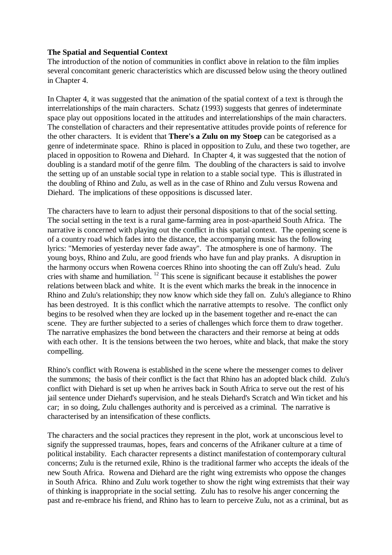# **The Spatial and Sequential Context**

The introduction of the notion of communities in conflict above in relation to the film implies several concomitant generic characteristics which are discussed below using the theory outlined in Chapter 4.

In Chapter 4, it was suggested that the animation of the spatial context of a text is through the interrelationships of the main characters. Schatz (1993) suggests that genres of indeterminate space play out oppositions located in the attitudes and interrelationships of the main characters. The constellation of characters and their representative attitudes provide points of reference for the other characters. It is evident that **There's a Zulu on my Stoep** can be categorised as a genre of indeterminate space. Rhino is placed in opposition to Zulu, and these two together, are placed in opposition to Rowena and Diehard. In Chapter 4, it was suggested that the notion of doubling is a standard motif of the genre film. The doubling of the characters is said to involve the setting up of an unstable social type in relation to a stable social type. This is illustrated in the doubling of Rhino and Zulu, as well as in the case of Rhino and Zulu versus Rowena and Diehard. The implications of these oppositions is discussed later.

The characters have to learn to adjust their personal dispositions to that of the social setting. The social setting in the text is a rural game-farming area in post-apartheid South Africa. The narrative is concerned with playing out the conflict in this spatial context. The opening scene is of a country road which fades into the distance, the accompanying music has the following lyrics: "Memories of yesterday never fade away". The atmosphere is one of harmony. The young boys, Rhino and Zulu, are good friends who have fun and play pranks. A disruption in the harmony occurs when Rowena coerces Rhino into shooting the can off Zulu's head. Zulu cries with shame and humiliation. <sup>12</sup> This scene is significant because it establishes the power relations between black and white. It is the event which marks the break in the innocence in Rhino and Zulu's relationship; they now know which side they fall on. Zulu's allegiance to Rhino has been destroyed. It is this conflict which the narrative attempts to resolve. The conflict only begins to be resolved when they are locked up in the basement together and re-enact the can scene. They are further subjected to a series of challenges which force them to draw together. The narrative emphasizes the bond between the characters and their remorse at being at odds with each other. It is the tensions between the two heroes, white and black, that make the story compelling.

Rhino's conflict with Rowena is established in the scene where the messenger comes to deliver the summons; the basis of their conflict is the fact that Rhino has an adopted black child. Zulu's conflict with Diehard is set up when he arrives back in South Africa to serve out the rest of his jail sentence under Diehard's supervision, and he steals Diehard's Scratch and Win ticket and his car; in so doing, Zulu challenges authority and is perceived as a criminal. The narrative is characterised by an intensification of these conflicts.

The characters and the social practices they represent in the plot, work at unconscious level to signify the suppressed traumas, hopes, fears and concerns of the Afrikaner culture at a time of political instability. Each character represents a distinct manifestation of contemporary cultural concerns; Zulu is the returned exile, Rhino is the traditional farmer who accepts the ideals of the new South Africa. Rowena and Diehard are the right wing extremists who oppose the changes in South Africa. Rhino and Zulu work together to show the right wing extremists that their way of thinking is inappropriate in the social setting. Zulu has to resolve his anger concerning the past and re-embrace his friend, and Rhino has to learn to perceive Zulu, not as a criminal, but as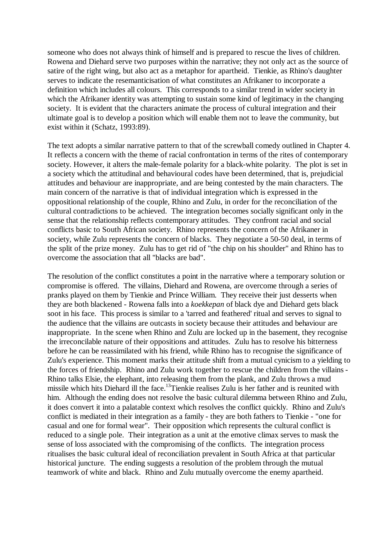someone who does not always think of himself and is prepared to rescue the lives of children. Rowena and Diehard serve two purposes within the narrative; they not only act as the source of satire of the right wing, but also act as a metaphor for apartheid. Tienkie, as Rhino's daughter serves to indicate the resemanticisation of what constitutes an Afrikaner to incorporate a definition which includes all colours. This corresponds to a similar trend in wider society in which the Afrikaner identity was attempting to sustain some kind of legitimacy in the changing society. It is evident that the characters animate the process of cultural integration and their ultimate goal is to develop a position which will enable them not to leave the community, but exist within it (Schatz, 1993:89).

The text adopts a similar narrative pattern to that of the screwball comedy outlined in Chapter 4. It reflects a concern with the theme of racial confrontation in terms of the rites of contemporary society. However, it alters the male-female polarity for a black-white polarity. The plot is set in a society which the attitudinal and behavioural codes have been determined, that is, prejudicial attitudes and behaviour are inappropriate, and are being contested by the main characters. The main concern of the narrative is that of individual integration which is expressed in the oppositional relationship of the couple, Rhino and Zulu, in order for the reconciliation of the cultural contradictions to be achieved. The integration becomes socially significant only in the sense that the relationship reflects contemporary attitudes. They confront racial and social conflicts basic to South African society. Rhino represents the concern of the Afrikaner in society, while Zulu represents the concern of blacks. They negotiate a 50-50 deal, in terms of the split of the prize money. Zulu has to get rid of "the chip on his shoulder" and Rhino has to overcome the association that all "blacks are bad".

The resolution of the conflict constitutes a point in the narrative where a temporary solution or compromise is offered. The villains, Diehard and Rowena, are overcome through a series of pranks played on them by Tienkie and Prince William. They receive their just desserts when they are both blackened - Rowena falls into a *koekkepan* of black dye and Diehard gets black soot in his face. This process is similar to a 'tarred and feathered' ritual and serves to signal to the audience that the villains are outcasts in society because their attitudes and behaviour are inappropriate. In the scene when Rhino and Zulu are locked up in the basement, they recognise the irreconcilable nature of their oppositions and attitudes. Zulu has to resolve his bitterness before he can be reassimilated with his friend, while Rhino has to recognise the significance of Zulu's experience. This moment marks their attitude shift from a mutual cynicism to a yielding to the forces of friendship. Rhino and Zulu work together to rescue the children from the villains - Rhino talks Elsie, the elephant, into releasing them from the plank, and Zulu throws a mud missile which hits Diehard ill the face.<sup>13</sup>Tienkie realises Zulu is her father and is reunited with him. Although the ending does not resolve the basic cultural dilemma between Rhino and Zulu, it does convert it into a palatable context which resolves the conflict quickly. Rhino and Zulu's conflict is mediated in their integration as a family - they are both fathers to Tienkie - "one for casual and one for formal wear". Their opposition which represents the cultural conflict is reduced to a single pole. Their integration as a unit at the emotive climax serves to mask the sense of loss associated with the compromising of the conflicts. The integration process ritualises the basic cultural ideal of reconciliation prevalent in South Africa at that particular historical juncture. The ending suggests a resolution of the problem through the mutual teamwork of white and black. Rhino and Zulu mutually overcome the enemy apartheid.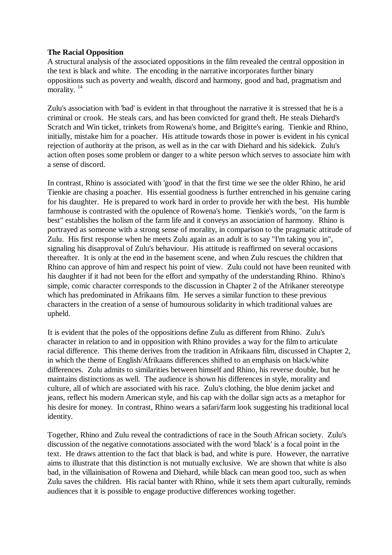# **The Racial Opposition**

A structural analysis of the associated oppositions in the film revealed the central opposition in the text is black and white. The encoding in the narrative incorporates further binary oppositions such as poverty and wealth, discord and harmony, good and bad, pragmatism and morality.<sup>14</sup>

Zulu's association with 'bad' is evident in that throughout the narrative it is stressed that he is a criminal or crook. He steals cars, and has been convicted for grand theft. He steals Diehard's Scratch and Win ticket, trinkets from Rowena's home, and Brigitte's earing. Tienkie and Rhino, initially, mistake him for a poacher. His attitude towards those in power is evident in his cynical rejection of authority at the prison, as well as in the car with Diehard and his sidekick. Zulu's action often poses some problem or danger to a white person which serves to associate him with a sense of discord.

In contrast, Rhino is associated with 'good' in that the first time we see the older Rhino, he arid Tienkie are chasing a poacher. His essential goodness is further entrenched in his genuine caring for his daughter. He is prepared to work hard in order to provide her with the best. His humble farmhouse is contrasted with the opulence of Rowena's home. Tienkie's words, "on the farm is best" establishes the holism of the farm life and it conveys an association of harmony. Rhino is portrayed as someone with a strong sense of morality, in comparison to the pragmatic attitude of Zulu. His first response when he meets Zulu again as an adult is to say "I'm taking you in", signaling his disapproval of Zulu's behaviour. His attitude is reaffirmed on several occasions thereafter. It is only at the end in the basement scene, and when Zulu rescues the children that Rhino can approve of him and respect his point of view. Zulu could not have been reunited with his daughter if it had not been for the effort and sympathy of the understanding Rhino. Rhino's simple, comic character corresponds to the discussion in Chapter 2 of the Afrikaner stereotype which has predominated in Afrikaans film. He serves a similar function to these previous characters in the creation of a sense of humourous solidarity in which traditional values are upheld.

It is evident that the poles of the oppositions define Zulu as different from Rhino. Zulu's character in relation to and in opposition with Rhino provides a way for the film to articulate racial difference. This theme derives from the tradition in Afrikaans film, discussed in Chapter 2, in which the theme of English/Afrikaans differences shifted to an emphasis on black/white differences. Zulu admits to similarities between himself and Rhino, his reverse double, but he maintains distinctions as well.The audience is shown his differences in style, morality and culture, all of which are associated with his race. Zulu's clothing, the blue denim jacket and jeans, reflect his modern American style, and his cap with the dollar sign acts as a metaphor for his desire for money. In contrast, Rhino wears a safari/farm look suggesting his traditional local identity.

Together, Rhino and Zulu reveal the contradictions of race in the South African society. Zulu's discussion of the negative connotations associated with the word 'black' is a focal point in the text. He draws attention to the fact that black is bad, and white is pure. However, the narrative aims to illustrate that this distinction is not mutually exclusive. We are shown that white is also bad, in the villainisation of Rowena and Diehard, while black can mean good too, such as when Zulu saves the children. His racial banter with Rhino, while it sets them apart culturally, reminds audiences that it is possible to engage productive differences working together.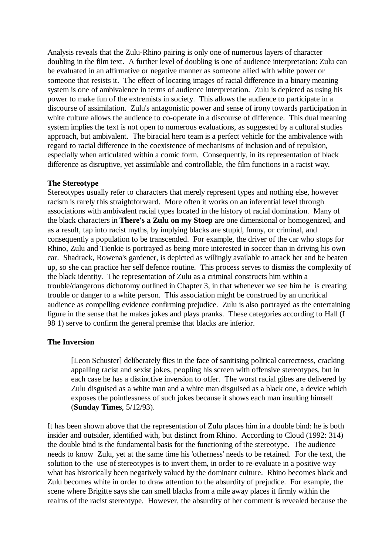Analysis reveals that the Zulu-Rhino pairing is only one of numerous layers of character doubling in the film text. A further level of doubling is one of audience interpretation: Zulu can be evaluated in an affirmative or negative manner as someone allied with white power or someone that resists it. The effect of locating images of racial difference in a binary meaning system is one of ambivalence in terms of audience interpretation. Zulu is depicted as using his power to make fun of the extremists in society. This allows the audience to participate in a discourse of assimilation. Zulu's antagonistic power and sense of irony towards participation in white culture allows the audience to co-operate in a discourse of difference. This dual meaning system implies the text is not open to numerous evaluations, as suggested by a cultural studies approach, but ambivalent. The biracial hero team is a perfect vehicle for the ambivalence with regard to racial difference in the coexistence of mechanisms of inclusion and of repulsion, especially when articulated within a comic form. Consequently, in its representation of black difference as disruptive, yet assimilable and controllable, the film functions in a racist way.

# **The Stereotype**

Stereotypes usually refer to characters that merely represent types and nothing else, however racism is rarely this straightforward. More often it works on an inferential level through associations with ambivalent racial types located in the history of racial domination. Many of the black characters in **There's a Zulu on my Stoep** are one dimensional or homogenized, and as a result, tap into racist myths, by implying blacks are stupid, funny, or criminal, and consequently a population to be transcended. For example, the driver of the car who stops for Rhino, Zulu and Tienkie is portrayed as being more interested in soccer than in driving his own car. Shadrack, Rowena's gardener, is depicted as willingly available to attack her and be beaten up, so she can practice her self defence routine. This process serves to dismiss the complexity of the black identity. The representation of Zulu as a criminal constructs him within a trouble/dangerous dichotomy outlined in Chapter 3, in that whenever we see him he is creating trouble or danger to a white person. This association might be construed by an uncritical audience as compelling evidence confirming prejudice. Zulu is also portrayed as the entertaining figure in the sense that he makes jokes and plays pranks. These categories according to Hall (I 98 1) serve to confirm the general premise that blacks are inferior.

# **The Inversion**

[Leon Schuster] deliberately flies in the face of sanitising political correctness, cracking appalling racist and sexist jokes, peopling his screen with offensive stereotypes, but in each case he has a distinctive inversion to offer. The worst racial gibes are delivered by Zulu disguised as a white man and a white man disguised as a black one, a device which exposes the pointlessness of such jokes because it shows each man insulting himself (**Sunday Times**, 5/12/93).

It has been shown above that the representation of Zulu places him in a double bind: he is both insider and outsider, identified with, but distinct from Rhino. According to Cloud (1992: 314) the double bind is the fundamental basis for the functioning of the stereotype. The audience needs to know Zulu, yet at the same time his 'otherness' needs to be retained. For the text, the solution to the use of stereotypes is to invert them, in order to re-evaluate in a positive way what has historically been negatively valued by the dominant culture. Rhino becomes black and Zulu becomes white in order to draw attention to the absurdity of prejudice. For example, the scene where Brigitte says she can smell blacks from a mile away places it firmly within the realms of the racist stereotype. However, the absurdity of her comment is revealed because the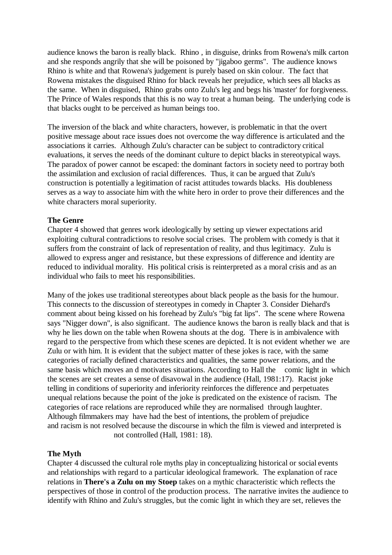audience knows the baron is really black. Rhino , in disguise, drinks from Rowena's milk carton and she responds angrily that she will be poisoned by "jigaboo germs". The audience knows Rhino is white and that Rowena's judgement is purely based on skin colour. The fact that Rowena mistakes the disguised Rhino for black reveals her prejudice, which sees all blacks as the same. When in disguised, Rhino grabs onto Zulu's leg and begs his 'master' for forgiveness. The Prince of Wales responds that this is no way to treat a human being. The underlying code is that blacks ought to be perceived as human beings too.

The inversion of the black and white characters, however, is problematic in that the overt positive message about race issues does not overcome the way difference is articulated and the associations it carries. Although Zulu's character can be subject to contradictory critical evaluations, it serves the needs of the dominant culture to depict blacks in stereotypical ways. The paradox of power cannot be escaped: the dominant factors in society need to portray both the assimilation and exclusion of racial differences. Thus, it can be argued that Zulu's construction is potentially a legitimation of racist attitudes towards blacks. His doubleness serves as a way to associate him with the white hero in order to prove their differences and the white characters moral superiority.

# **The Genre**

Chapter 4 showed that genres work ideologically by setting up viewer expectations arid exploiting cultural contradictions to resolve social crises. The problem with comedy is that it suffers from the constraint of lack of representation of reality, and thus legitimacy. Zulu is allowed to express anger and resistance, but these expressions of difference and identity are reduced to individual morality. His political crisis is reinterpreted as a moral crisis and as an individual who fails to meet his responsibilities.

Many of the jokes use traditional stereotypes about black people as the basis for the humour. This connects to the discussion of stereotypes in comedy in Chapter 3. Consider Diehard's comment about being kissed on his forehead by Zulu's "big fat lips". The scene where Rowena says "Nigger down", is also significant. The audience knows the baron is really black and that is why he lies down on the table when Rowena shouts at the dog. There is in ambivalence with regard to the perspective from which these scenes are depicted. It is not evident whether we are Zulu or with him. It is evident that the subject matter of these jokes is race, with the same categories of racially defined characteristics and qualities, the same power relations, and the same basis which moves an d motivates situations. According to Hall the comic light in which the scenes are set creates a sense of disavowal in the audience (Hall, 1981:17). Racist joke telling in conditions of superiority and inferiority reinforces the difference and perpetuates unequal relations because the point of the joke is predicated on the existence of racism. The categories of race relations are reproduced while they are normalised through laughter. Although filmmakers may have had the best of intentions, the problem of prejudice and racism is not resolved because the discourse in which the film is viewed and interpreted is not controlled (Hall, 1981: 18).

# **The Myth**

Chapter 4 discussed the cultural role myths play in conceptualizing historical or social events and relationships with regard to a particular ideological framework. The explanation of race relations in **There's a Zulu on my Stoep** takes on a mythic characteristic which reflects the perspectives of those in control of the production process. The narrative invites the audience to identify with Rhino and Zulu's struggles, but the comic light in which they are set, relieves the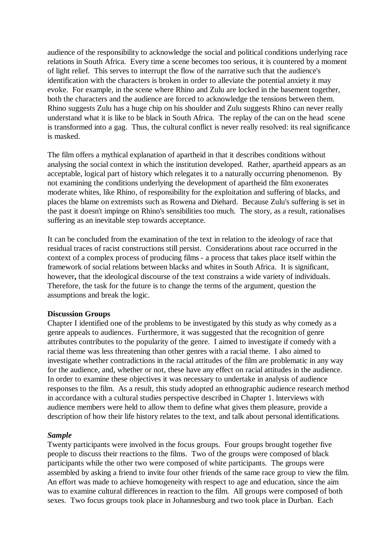audience of the responsibility to acknowledge the social and political conditions underlying race relations in South Africa. Every time a scene becomes too serious, it is countered by a moment of light relief. This serves to interrupt the flow of the narrative such that the audience's identification with the characters is broken in order to alleviate the potential anxiety it may evoke. For example, in the scene where Rhino and Zulu are locked in the basement together, both the characters and the audience are forced to acknowledge the tensions between them. Rhino suggests Zulu has a huge chip on his shoulder and Zulu suggests Rhino can never really understand what it is like to be black in South Africa. The replay of the can on the head scene is transformed into a gag. Thus, the cultural conflict is never really resolved: its real significance is masked.

The film offers a mythical explanation of apartheid in that it describes conditions without analysing the social context in which the institution developed. Rather, apartheid appears as an acceptable, logical part of history which relegates it to a naturally occurring phenomenon. By not examining the conditions underlying the development of apartheid the film exonerates moderate whites, like Rhino, of responsibility for the exploitation and suffering of blacks, and places the blame on extremists such as Rowena and Diehard. Because Zulu's suffering is set in the past it doesn't impinge on Rhino's sensibilities too much. The story, as a result, rationalises suffering as an inevitable step towards acceptance.

It can be concluded from the examination of the text in relation to the ideology of race that residual traces of racist constructions still persist. Considerations about race occurred in the context of a complex process of producing films - a process that takes place itself within the framework of social relations between blacks and whites in South Africa. It is significant, however**,** that the ideological discourse of the text constrains a wide variety of individuals. Therefore, the task for the future is to change the terms of the argument, question the assumptions and break the logic.

#### **Discussion Groups**

Chapter I identified one of the problems to be investigated by this study as why comedy as a genre appeals to audiences. Furthermore, it was suggested that the recognition of genre attributes contributes to the popularity of the genre. I aimed to investigate if comedy with a racial theme was less threatening than other genres with a racial theme. I also aimed to investigate whether contradictions in the racial attitudes of the film are problematic in any way for the audience, and, whether or not, these have any effect on racial attitudes in the audience. In order to examine these objectives it was necessary to undertake in analysis of audience responses to the film.As a result, this study adopted an ethnographic audience research method in accordance with a cultural studies perspective described in Chapter 1. lnterviews with audience members were held to allow them to define what gives them pleasure, provide a description of how their life history relates to the text, and talk about personal identifications.

# *Sample*

Twenty participants were involved in the focus groups. Four groups brought together five people to discuss their reactions to the films. Two of the groups were composed of black participants while the other two were composed of white participants. The groups were assembled by asking a friend to invite four other friends of the same race group to view the film. An effort was made to achieve homogeneity with respect to age and education, since the aim was to examine cultural differences in reaction to the film. All groups were composed of both sexes. Two focus groups took place in Johannesburg and two took place in Durban. Each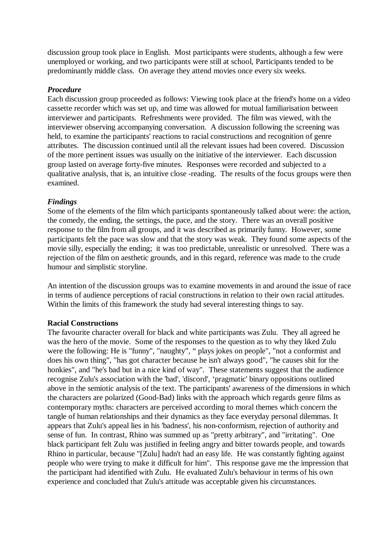discussion group took place in English. Most participants were students, although a few were unemployed or working, and two participants were still at school, Participants tended to be predominantly middle class. On average they attend movies once every six weeks.

# *Procedure*

Each discussion group proceeded as follows: Viewing took place at the friend's home on a video cassette recorder which was set up, and time was allowed for mutual familiarisation between interviewer and participants. Refreshments were provided. The film was viewed, with the interviewer observing accompanying conversation. A discussion following the screening was held, to examine the participants' reactions to racial constructions and recognition of genre attributes. The discussion continued until all the relevant issues had been covered. Discussion of the more pertinent issues was usually on the initiative of the interviewer. Each discussion group lasted on average forty-five minutes. Responses were recorded and subjected to a qualitative analysis, that is, an intuitive close -reading. The results of the focus groups were then examined.

# *Findings*

Some of the elements of the film which participants spontaneously talked about were: the action, the comedy, the ending, the settings, the pace, and the story. There was an overall positive response to the film from all groups, and it was described as primarily funny. However, some participants felt the pace was slow and that the story was weak. They found some aspects of the movie silly, especially the ending; it was too predictable, unrealistic or unresolved. There was a rejection of the film on aesthetic grounds, and in this regard, reference was made to the crude humour and simplistic storyline.

An intention of the discussion groups was to examine movements in and around the issue of race in terms of audience perceptions of racial constructions in relation to their own racial attitudes. Within the limits of this framework the study had several interesting things to say.

# **Racial Constructions**

The favourite character overall for black and white participants was Zulu. They all agreed he was the hero of the movie. Some of the responses to the question as to why they liked Zulu were the following: He is "funny", "naughty", " plays jokes on people", "not a conformist and does his own thing", "has got character because he isn't always good", "he causes shit for the honkies", and "he's bad but in a nice kind of way". These statements suggest that the audience recognise Zulu's association with the 'bad', 'discord', 'pragmatic' binary oppositions outlined above in the semiotic analysis of the text. The participants' awareness of the dimensions in which the characters are polarized (Good-Bad) links with the approach which regards genre films as contemporary myths: characters are perceived according to moral themes which concern the tangle of human relationships and their dynamics as they face everyday personal dilemmas. It appears that Zulu's appeal lies in his 'badness', his non-conformism, rejection of authority and sense of fun. In contrast, Rhino was summed up as "pretty arbitrary", and "irritating". One black participant felt Zulu was justified in feeling angry and bitter towards people, and towards Rhino in particular, because "[Zulu] hadn't had an easy life. He was constantly fighting against people who were trying to make it difficult for him". This response gave me the impression that the participant had identified with Zulu. He evaluated Zulu's behaviour in terms of his own experience and concluded that Zulu's attitude was acceptable given his circumstances.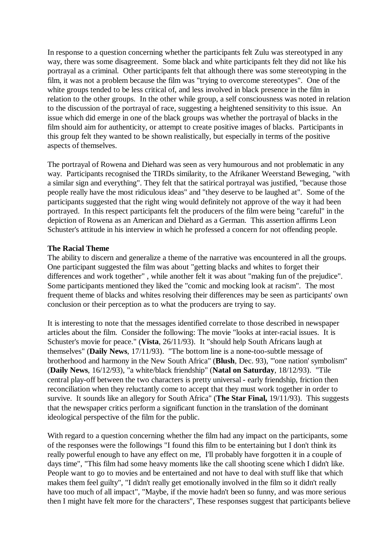In response to a question concerning whether the participants felt Zulu was stereotyped in any way, there was some disagreement. Some black and white participants felt they did not like his portrayal as a criminal. Other participants felt that although there was some stereotyping in the film, it was not a problem because the film was "trying to overcome stereotypes". One of the white groups tended to be less critical of, and less involved in black presence in the film in relation to the other groups. In the other while group, a self consciousness was noted in relation to the discussion of the portrayal of race, suggesting a heightened sensitivity to this issue. An issue which did emerge in one of the black groups was whether the portrayal of blacks in the film should aim for authenticity, or attempt to create positive images of blacks. Participants in this group felt they wanted to be shown realistically, but especially in terms of the positive aspects of themselves.

The portrayal of Rowena and Diehard was seen as very humourous and not problematic in any way. Participants recognised the TIRDs similarity, to the Afrikaner Weerstand Beweging, "with a similar sign and everything". They felt that the satirical portrayal was justified, "because those people really have the most ridiculous ideas" and "they deserve to be laughed at". Some of the participants suggested that the right wing would definitely not approve of the way it had been portrayed. In this respect participants felt the producers of the film were being "careful" in the depiction of Rowena as an American and Diehard as a German. This assertion affirms Leon Schuster's attitude in his interview in which he professed a concern for not offending people.

# **The Racial Theme**

The ability to discern and generalize a theme of the narrative was encountered in all the groups. One participant suggested the film was about "getting blacks and whites to forget their differences and work together" , while another felt it was about "making fun of the prejudice". Some participants mentioned they liked the "comic and mocking look at racism". The most frequent theme of blacks and whites resolving their differences may be seen as participants' own conclusion or their perception as to what the producers are trying to say.

It is interesting to note that the messages identified correlate to those described in newspaper articles about the film. Consider the following: The movie "looks at inter-racial issues. It is Schuster's movie for peace." (**Vista**, 26/11/93). It "should help South Africans laugh at themselves" (**Daily News**, 17/11/93). "The bottom line is a none-too-subtle message of brotherhood and harmony in the New South Africa" (**Blush**, Dec. 93), "'one nation' symbolism" (**Daily News**, 16/12/93), "a white/black friendship" (**Natal on Saturday**, 18/12/93). "Tile central play-off between the two characters is pretty universal - early friendship, friction then reconciliation when they reluctantly come to accept that they must work together in order to survive. It sounds like an allegory for South Africa" (**The Star Final,** 19/11/93). This suggests that the newspaper critics perform a significant function in the translation of the dominant ideological perspective of the film for the public.

With regard to a question concerning whether the film had any impact on the participants, some of the responses were the followings "I found this film to be entertaining but I don't think its really powerful enough to have any effect on me, I'll probably have forgotten it in a couple of days time", "This film had some heavy moments like the call shooting scene which I didn't like. People want to go to movies and be entertained and not have to deal with stuff like that which makes them feel guilty", "I didn't really get emotionally involved in the film so it didn't really have too much of all impact", "Maybe, if the movie hadn't been so funny, and was more serious then I might have felt more for the characters", These responses suggest that participants believe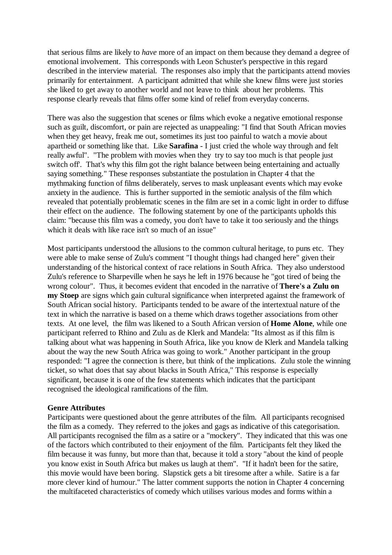that serious films are likely to *have* more of an impact on them because they demand a degree of emotional involvement. This corresponds with Leon Schuster's perspective in this regard described in the interview material. The responses also imply that the participants attend movies primarily for entertainment. A participant admitted that while she knew films were just stories she liked to get away to another world and not leave to think about her problems. This response clearly reveals that films offer some kind of relief from everyday concerns.

There was also the suggestion that scenes or films which evoke a negative emotional response such as guilt, discomfort, or pain are rejected as unappealing: "I find that South African movies when they get heavy, freak me out, sometimes its just too painful to watch a movie about apartheid or something like that. Like **Sarafina** - I just cried the whole way through and felt really awful". "The problem with movies when they try to say too much is that people just switch off'. That's why this film got the right balance between being entertaining and actually saying something." These responses substantiate the postulation in Chapter 4 that the mythmaking function of films deliberately, serves to mask unpleasant events which may evoke anxiety in the audience. This is further supported in the semiotic analysis of the film which revealed that potentially problematic scenes in the film are set in a comic light in order to diffuse their effect on the audience. The following statement by one of the participants upholds this claim: "because this film was a comedy, you don't have to take it too seriously and the things which it deals with like race isn't so much of an issue"

Most participants understood the allusions to the common cultural heritage, to puns etc. They were able to make sense of Zulu's comment "I thought things had changed here" given their understanding of the historical context of race relations in South Africa. They also understood Zulu's reference to Sharpeville when he says he left in 1976 because he "got tired of being the wrong colour". Thus, it becomes evident that encoded in the narrative of **There's a Zulu on my Stoep** are signs which gain cultural significance when interpreted against the framework of South African social history. Participants tended to be aware of the intertextual nature of the text in which the narrative is based on a theme which draws together associations from other texts. At one level, the film was likened to a South African version of **Home Alone**, while one participant referred to Rhino and Zulu as de Klerk and Mandela: "Its almost as if this film is talking about what was happening in South Africa, like you know de Klerk and Mandela talking about the way the new South Africa was going to work." Another participant in the group responded: "I agree the connection is there, but think of the implications. Zulu stole the winning ticket, so what does that say about blacks in South Africa," This response is especially significant, because it is one of the few statements which indicates that the participant recognised the ideological ramifications of the film.

# **Genre Attributes**

Participants were questioned about the genre attributes of the film. All participants recognised the film as a comedy. They referred to the jokes and gags as indicative of this categorisation. All participants recognised the film as a satire or a "mockery". They indicated that this was one of the factors which contributed to their enjoyment of the film. Participants felt they liked the film because it was funny, but more than that, because it told a story "about the kind of people you know exist in South Africa but makes us laugh at them". "If it hadn't been for the satire, this movie would have been boring. Slapstick gets a bit tiresome after a while. Satire is a far more clever kind of humour." The latter comment supports the notion in Chapter 4 concerning the multifaceted characteristics of comedy which utilises various modes and forms within a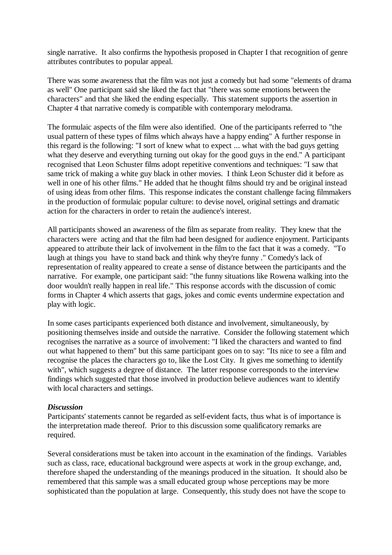single narrative. It also confirms the hypothesis proposed in Chapter I that recognition of genre attributes contributes to popular appeal.

There was some awareness that the film was not just a comedy but had some "elements of drama as well" One participant said she liked the fact that "there was some emotions between the characters" and that she liked the ending especially. This statement supports the assertion in Chapter 4 that narrative comedy is compatible with contemporary melodrama.

The formulaic aspects of the film were also identified. One of the participants referred to "the usual pattern of these types of films which always have a happy ending" A further response in this regard is the following: "I sort of knew what to expect ... what with the bad guys getting what they deserve and everything turning out okay for the good guys in the end." A participant recognised that Leon Schuster films adopt repetitive conventions and techniques: "I saw that same trick of making a white guy black in other movies. I think Leon Schuster did it before as well in one of his other films." He added that he thought films should try and be original instead of using ideas from other films. This response indicates the constant challenge facing filmmakers in the production of formulaic popular culture: to devise novel, original settings and dramatic action for the characters in order to retain the audience's interest.

All participants showed an awareness of the film as separate from reality. They knew that the characters were acting and that the film had been designed for audience enjoyment. Participants appeared to attribute their lack of involvement in the film to the fact that it was a comedy. "To laugh at things you have to stand back and think why they're funny ." Comedy's lack of representation of reality appeared to create a sense of distance between the participants and the narrative. For example, one participant said: "the funny situations like Rowena walking into the door wouldn't really happen in real life." This response accords with the discussion of comic forms in Chapter 4 which asserts that gags, jokes and comic events undermine expectation and play with logic.

In some cases participants experienced both distance and involvement, simultaneously, by positioning themselves inside and outside the narrative. Consider the following statement which recognises the narrative as a source of involvement: "I liked the characters and wanted to find out what happened to them" but this same participant goes on to say: "Its nice to see a film and recognise the places the characters go to, like the Lost City. It gives me something to identify with", which suggests a degree of distance. The latter response corresponds to the interview findings which suggested that those involved in production believe audiences want to identify with local characters and settings.

# *Discussion*

Participants' statements cannot be regarded as self-evident facts, thus what is of importance is the interpretation made thereof. Prior to this discussion some qualificatory remarks are required.

Several considerations must be taken into account in the examination of the findings. Variables such as class, race, educational background were aspects at work in the group exchange, and, therefore shaped the understanding of the meanings produced in the situation. It should also be remembered that this sample was a small educated group whose perceptions may be more sophisticated than the population at large. Consequently, this study does not have the scope to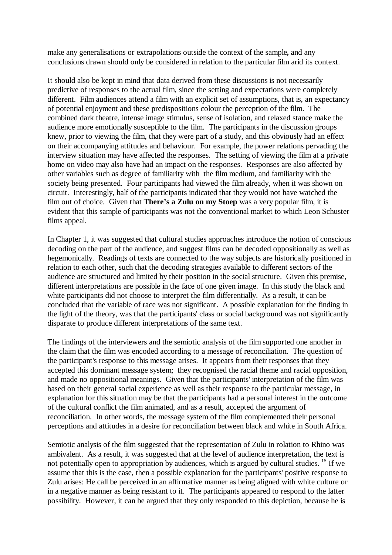make any generalisations or extrapolations outside the context of the sample**,** and any conclusions drawn should only be considered in relation to the particular film arid its context.

It should also be kept in mind that data derived from these discussions is not necessarily predictive of responses to the actual film, since the setting and expectations were completely different. Film audiences attend a film with an explicit set of assumptions, that is, an expectancy of potential enjoyment and these predispositions colour the perception of the film. The combined dark theatre, intense image stimulus, sense of isolation, and relaxed stance make the audience more emotionally susceptible to the film. The participants in the discussion groups knew, prior to viewing the film, that they were part of a study, and this obviously had an effect on their accompanying attitudes and behaviour. For example, the power relations pervading the interview situation may have affected the responses. The setting of viewing the film at a private home on video may also have had an impact on the responses. Responses are also affected by other variables such as degree of familiarity with the film medium, and familiarity with the society being presented. Four participants had viewed the film already, when it was shown on circuit. Interestingly, half of the participants indicated that they would not have watched the film out of choice. Given that **There's a Zulu on my Stoep** was a very popular film, it is evident that this sample of participants was not the conventional market to which Leon Schuster films appeal.

In Chapter 1, it was suggested that cultural studies approaches introduce the notion of conscious decoding on the part of the audience, and suggest films can be decoded oppositionally as well as hegemonically. Readings of texts are connected to the way subjects are historically positioned in relation to each other, such that the decoding strategies available to different sectors of the audience are structured and limited by their position in the social structure. Given this premise, different interpretations are possible in the face of one given image. In this study the black and white participants did not choose to interpret the film differentially. As a result, it can be concluded that the variable of race was not significant. A possible explanation for the finding in the light of the theory, was that the participants' class or social background was not significantly disparate to produce different interpretations of the same text.

The findings of the interviewers and the semiotic analysis of the film supported one another in the claim that the film was encoded according to a message of reconciliation. The question of the participant's response to this message arises. It appears from their responses that they accepted this dominant message system; they recognised the racial theme and racial opposition, and made no oppositional meanings. Given that the participants' interpretation of the film was based on their general social experience as well as their response to the particular message, in explanation for this situation may be that the participants had a personal interest in the outcome of the cultural conflict the film animated, and as a result, accepted the argument of reconciliation. In other words, the message system of the film complemented their personal perceptions and attitudes in a desire for reconciliation between black and white in South Africa.

Semiotic analysis of the film suggested that the representation of Zulu in rolation to Rhino was ambivalent. As a result, it was suggested that at the level of audience interpretation, the text is not potentially open to appropriation by audiences, which is argued by cultural studies. <sup>15</sup> If we assume that this is the case, then a possible explanation for the participants' positive response to Zulu arises: He call be perceived in an affirmative manner as being aligned with white culture or in a negative manner as being resistant to it. The participants appeared to respond to the latter possibility. However, it can be argued that they only responded to this depiction, because he is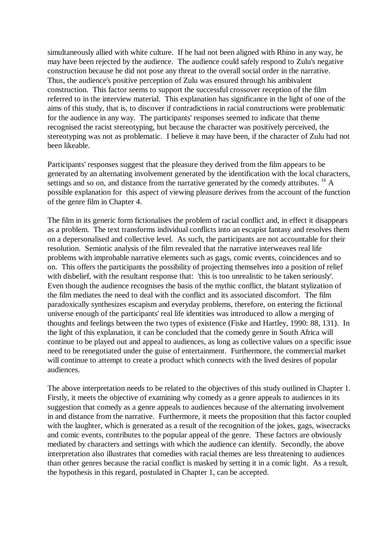simultaneously allied with white culture. If he had not been aligned with Rhino in any way, he may have been rejected by the audience. The audience could safely respond to Zulu's negative construction because he did not pose any threat to the overall social order in the narrative. Thus, the audience's positive perception of Zulu was ensured through his ambivalent construction. This factor seems to support the successful crossover reception of the film referred to in the interview material. This explanation has significance in the light of one of the aims of this study, that is, to discover if contradictions in racial constructions were problematic for the audience in any way. The participants' responses seemed to indicate that theme recognised the racist stereotyping, but because the character was positively perceived, the stereotyping was not as problematic. I believe it may have been, if the character of Zulu had not been likeable.

Participants' responses suggest that the pleasure they derived from the film appears to be generated by an alternating involvement generated by the identification with the local characters, settings and so on, and distance from the narrative generated by the comedy attributes. <sup>16</sup> A possible explanation for this aspect of viewing pleasure derives from the account of the function of the genre film in Chapter 4.

The film in its generic form fictionalises the problem of racial conflict and, in effect it disappears as a problem. The text transforms individual conflicts into an escapist fantasy and resolves them on a depersonalised and collective level. As such, the participants are not accountable for their resolution. Semiotic analysis of the film revealed that the narrative interweaves real life problems with improbable narrative elements such as gags, comic events, coincidences and so on. This offers the participants the possibility of projecting themselves into a position of relief with disbelief, with the resultant response that: 'this is too unrealistic to be taken seriously'. Even though the audience recognises the basis of the mythic conflict, the blatant stylization of the film mediates the need to deal with the conflict and its associated discomfort. The film paradoxically synthesizes escapism and everyday problems, therefore, on entering the fictional universe enough of the participants' real life identities was introduced to allow a merging of thoughts and feelings between the two types of existence (Fiske and Hartley, 1990: 88, 131). In the light of this explanation, it can be concluded that the comedy genre in South Africa will continue to be played out and appeal to audiences, as long as collective values on a specific issue need to be renegotiated under the guise of entertainment. Furthermore, the commercial market will continue to attempt to create a product which connects with the lived desires of popular audiences.

The above interpretation needs to be related to the objectives of this study outlined in Chapter 1. Firstly, it meets the objective of examining why comedy as a genre appeals to audiences in its suggestion that comedy as a genre appeals to audiences because of the alternating involvement in and distance from the narrative. Furthermore, it meets the proposition that this factor coupled with the laughter, which is generated as a result of the recognition of the jokes, gags, wisecracks and comic events, contributes to the popular appeal of the genre. These factors are obviously mediated by characters and settings with which the audience can identify. Secondly, the above interpretation also illustrates that comedies with racial themes are less threatening to audiences than other genres because the racial conflict is masked by setting it in a comic light. As a result, the hypothesis in this regard, postulated in Chapter 1, can be accepted.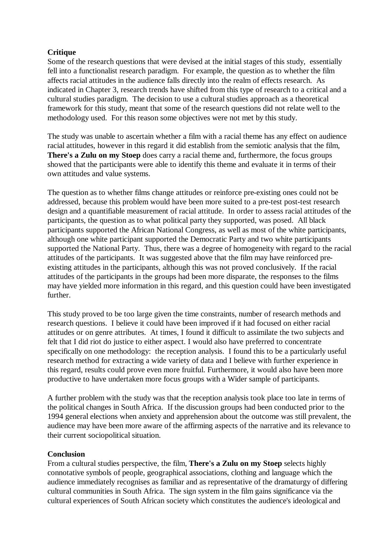# **Critique**

Some of the research questions that were devised at the initial stages of this study, essentially fell into a functionalist research paradigm. For example, the question as to whether the film affects racial attitudes in the audience falls directly into the realm of effects research. As indicated in Chapter 3, research trends have shifted from this type of research to a critical and a cultural studies paradigm. The decision to use a cultural studies approach as a theoretical framework for this study, meant that some of the research questions did not relate well to the methodology used. For this reason some objectives were not met by this study.

The study was unable to ascertain whether a film with a racial theme has any effect on audience racial attitudes, however in this regard it did establish from the semiotic analysis that the film, **There's a Zulu on my Stoep** does carry a racial theme and, furthermore, the focus groups showed that the participants were able to identify this theme and evaluate it in terms of their own attitudes and value systems.

The question as to whether films change attitudes or reinforce pre-existing ones could not be addressed, because this problem would have been more suited to a pre-test post-test research design and a quantifiable measurement of racial attitude. In order to assess racial attitudes of the participants, the question as to what political party they supported, was posed. All black participants supported the African National Congress, as well as most of the white participants, although one white participant supported the Democratic Party and two white participants supported the National Party. Thus, there was a degree of homogeneity with regard to the racial attitudes of the participants. It was suggested above that the film may have reinforced preexisting attitudes in the participants, although this was not proved conclusively. If the racial attitudes of the participants in the groups had been more disparate, the responses to the films may have yielded more information in this regard, and this question could have been investigated further.

This study proved to be too large given the time constraints, number of research methods and research questions. I believe it could have been improved if it had focused on either racial attitudes or on genre attributes. At times, I found it difficult to assimilate the two subjects and felt that I did riot do justice to either aspect. I would also have preferred to concentrate specifically on one methodology: the reception analysis. I found this to be a particularly useful research method for extracting a wide variety of data and I believe with further experience in this regard, results could prove even more fruitful. Furthermore, it would also have been more productive to have undertaken more focus groups with a Wider sample of participants.

A further problem with the study was that the reception analysis took place too late in terms of the political changes in South Africa. If the discussion groups had been conducted prior to the 1994 general elections when anxiety and apprehension about the outcome was still prevalent, the audience may have been more aware of the affirming aspects of the narrative and its relevance to their current sociopolitical situation.

# **Conclusion**

From a cultural studies perspective, the film, **There's a Zulu on my Stoep** selects highly connotative symbols of people, geographical associations, clothing and language which the audience immediately recognises as familiar and as representative of the dramaturgy of differing cultural communities in South Africa. The sign system in the film gains significance via the cultural experiences of South African society which constitutes the audience's ideological and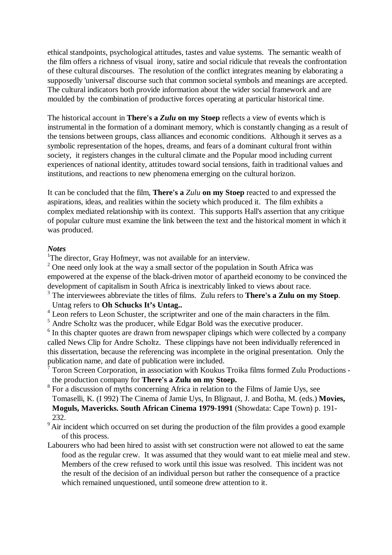ethical standpoints, psychological attitudes, tastes and value systems. The semantic wealth of the film offers a richness of visual irony, satire and social ridicule that reveals the confrontation of these cultural discourses. The resolution of the conflict integrates meaning by elaborating a supposedly 'universal' discourse such that common societal symbols and meanings are accepted. The cultural indicators both provide information about the wider social framework and are moulded by the combination of productive forces operating at particular historical time.

The historical account in **There's a** *Zulu* **on my Stoep** reflects a view of events which is instrumental in the formation of a dominant memory, which is constantly changing as a result of the tensions between groups, class alliances and economic conditions. Although it serves as a symbolic representation of the hopes, dreams, and fears of a dominant cultural front within society, it registers changes in the cultural climate and the Popular mood including current experiences of national identity, attitudes toward social tensions, faith in traditional values and institutions, and reactions to new phenomena emerging on the cultural horizon.

It can be concluded that the film, **There's a** *Zulu* **on my Stoep** reacted to and expressed the aspirations, ideas, and realities within the society which produced it. The film exhibits a complex mediated relationship with its context. This supports Hall's assertion that any critique of popular culture must examine the link between the text and the historical moment in which it was produced.

# *Notes*

<sup>1</sup>The director, Gray Hofmeyr, was not available for an interview.

 $2^2$  One need only look at the way a small sector of the population in South Africa was empowered at the expense of the black-driven motor of apartheid economy to be convinced the development of capitalism in South Africa is inextricably linked to views about race.

3 The interviewees abbreviate the titles of films. Zulu refers to **There's a Zulu on my Stoep**. Untag refers to **Oh Schucks It's Untag..**

<sup>4</sup> Leon refers to Leon Schuster, the scriptwriter and one of the main characters in the film.

<sup>5</sup> Andre Scholtz was the producer, while Edgar Bold was the executive producer.

 $6$  In this chapter quotes are drawn from newspaper clipings which were collected by a company called News Clip for Andre Scholtz. These clippings have not been individually referenced in this dissertation, because the referencing was incomplete in the original presentation. Only the publication name, and date of publication were included.

7 Toron Screen Corporation, in association with Koukus Troika films formed Zulu Productions the production company for **There's a Zulu on my Stoep.**

- <sup>8</sup> For a discussion of myths concerning Africa in relation to the Films of Jamie Uys, see Tomaselli, K. (I 992) The Cinema of Jamie Uys, In Blignaut, J. and Botha, M. (eds.) **Movies, Moguls, Mavericks. South African Cinema 1979-1991** (Showdata: Cape Town) p. 191- 232.
- $9^{\circ}$ Air incident which occurred on set during the production of the film provides a good example of this process.
- Labourers who had been hired to assist with set construction were not allowed to eat the same food as the regular crew. It was assumed that they would want to eat mielie meal and stew. Members of the crew refused to work until this issue was resolved. This incident was not the result of the decision of an individual person but rather the consequence of a practice which remained unquestioned, until someone drew attention to it.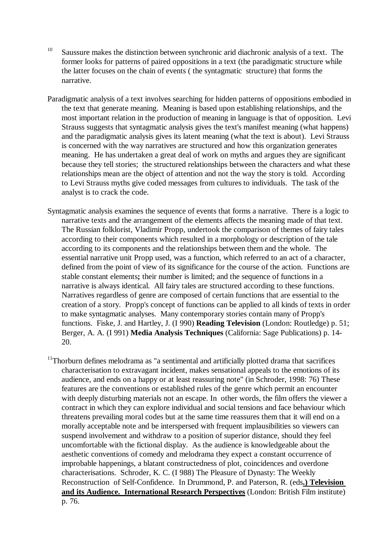- <sup>10</sup> Saussure makes the distinction between synchronic arid diachronic analysis of a text. The former looks for patterns of paired oppositions in a text (the paradigmatic structure while the latter focuses on the chain of events ( the syntagmatic structure) that forms the narrative.
- Paradigmatic analysis of a text involves searching for hidden patterns of oppositions embodied in the text that generate meaning. Meaning is based upon establishing relationships, and the most important relation in the production of meaning in language is that of opposition. Levi Strauss suggests that syntagmatic analysis gives the text's manifest meaning (what happens) and the paradigmatic analysis gives its latent meaning (what the text is about). Levi Strauss is concerned with the way narratives are structured and how this organization generates meaning. He has undertaken a great deal of work on myths and argues they are significant because they tell stories; the structured relationships between the characters and what these relationships mean are the object of attention and not the way the story is told. According to Levi Strauss myths give coded messages from cultures to individuals. The task of the analyst is to crack the code.
- Syntagmatic analysis examines the sequence of events that forms a narrative. There is a logic to narrative texts and the arrangement of the elements affects the meaning made of that text. The Russian folklorist, Vladimir Propp, undertook the comparison of themes of fairy tales according to their components which resulted in a morphology or description of the tale according to its components and the relationships between them and the whole. The essential narrative unit Propp used, was a function, which referred to an act of a character, defined from the point of view of its significance for the course of the action. Functions are stable constant elements**;** their number is limited; and the sequence of functions in a narrative is always identical. All fairy tales are structured according to these functions. Narratives regardless of genre are composed of certain functions that are essential to the creation of a story. Propp's concept of functions can be applied to all kinds of texts in order to make syntagmatic analyses. Many contemporary stories contain many of Propp's functions. Fiske, J. and Hartley, J. (I 990) **Reading Television** (London: Routledge) p. 51; Berger, A. A. (I 991) **Media Analysis Techniques** (California: Sage Publications) p. 14- 20.
- $11$ Thorburn defines melodrama as "a sentimental and artificially plotted drama that sacrifices characterisation to extravagant incident, makes sensational appeals to the emotions of its audience, and ends on a happy or at least reassuring note" (in Schroder, 1998: 76) These features are the conventions or established rules of the genre which permit an encounter with deeply disturbing materials not an escape. In other words, the film offers the viewer a contract in which they can explore individual and social tensions and face behaviour which threatens prevailing moral codes but at the same time reassures them that it will end on a morally acceptable note and be interspersed with frequent implausibilities so viewers can suspend involvement and withdraw to a position of superior distance, should they feel uncomfortable with the fictional display. As the audience is knowledgeable about the aesthetic conventions of comedy and melodrama they expect a constant occurrence of improbable happenings, a blatant constructedness of plot, coincidences and overdone characterisations. Schroder, K. C. (I 988) The Pleasure of Dynasty: The Weekly Reconstruction of Self-Confidence. In Drummond, P. and Paterson, R. (eds**.) Television and its Audience. International Research Perspectives** (London: British Film institute) p. 76.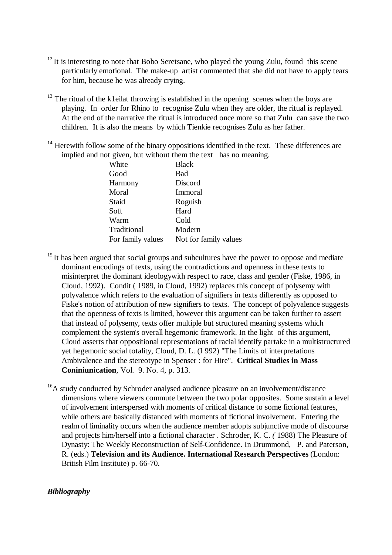- $12$ It is interesting to note that Bobo Seretsane, who played the young Zulu, found this scene particularly emotional. The make-up artist commented that she did not have to apply tears for him, because he was already crying.
- $13$  The ritual of the k1eilat throwing is established in the opening scenes when the boys are playing. In order for Rhino to recognise Zulu when they are older, the ritual is replayed. At the end of the narrative the ritual is introduced once more so that Zulu can save the two children. It is also the means by which Tienkie recognises Zulu as her father.
- $14$  Herewith follow some of the binary oppositions identified in the text. These differences are implied and not given, but without them the text has no meaning.

| White             | <b>Black</b>          |
|-------------------|-----------------------|
| Good              | Bad                   |
| Harmony           | Discord               |
| Moral             | Immoral               |
| Staid             | Roguish               |
| Soft              | Hard                  |
| Warm              | Cold                  |
| Traditional       | Modern                |
| For family values | Not for family values |

- $15$  It has been argued that social groups and subcultures have the power to oppose and mediate dominant encodings of texts, using the contradictions and openness in these texts to misinterpret the dominant ideologywith respect to race, class and gender (Fiske, 1986, in Cloud, 1992). Condit ( 1989, in Cloud, 1992) replaces this concept of polysemy with polyvalence which refers to the evaluation of signifiers in texts differently as opposed to Fiske's notion of attribution of new signifiers to texts. The concept of polyvalence suggests that the openness of texts is limited, however this argument can be taken further to assert that instead of polysemy, texts offer multiple but structured meaning systems which complement the system's overall hegemonic framework. In the light of this argument, Cloud asserts that oppositional representations of racial identify partake in a multistructured yet hegemonic social totality, Cloud, D. L. (I 992) "The Limits of interpretations Ambivalence and the stereotype in Spenser : for Hire". **Critical Studies in Mass Coniniunication**, Vol. 9. No. 4, p. 313.
- <sup>16</sup>A study conducted by Schroder analysed audience pleasure on an involvement/distance dimensions where viewers commute between the two polar opposites. Some sustain a level of involvement interspersed with moments of critical distance to some fictional features, while others are basically distanced with moments of fictional involvement. Entering the realm of liminality occurs when the audience member adopts subjunctive mode of discourse and projects him/herself into a fictional character . Schroder, K. C. *(* 1988) The Pleasure of Dynasty: The Weekly Reconstruction of Self-Confidence. In Drummond, P. and Paterson, R. (eds.) **Television and its Audience. International Research Perspectives** (London: British Film Institute) p. 66-70.

# *Bibliography*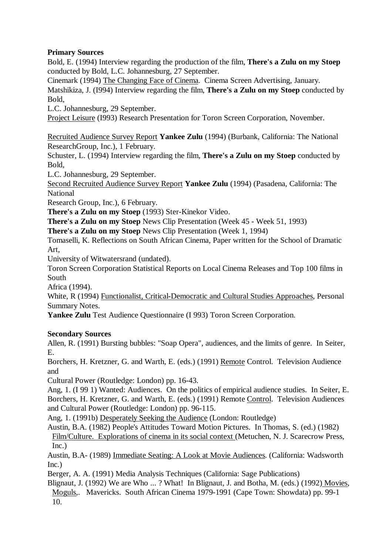# **Primary Sources**

Bold, E. (1994) Interview regarding the production of the film, **There's a Zulu on my Stoep** conducted by Bold, L.C. Johannesburg, 27 September.

Cinemark (1994) The Changing Face of Cinema. Cinema Screen Advertising, January.

Matshikiza, J. (I994) Interview regarding the film, **There's a Zulu on my Stoep** conducted by Bold,

L.C. Johannesburg, 29 September.

Project Leisure (I993) Research Presentation for Toron Screen Corporation, November.

Recruited Audience Survey Report **Yankee Zulu** (1994) (Burbank, California: The National ResearchGroup, Inc.), 1 February.

Schuster, L. (1994) Interview regarding the film, **There's a Zulu on my Stoep** conducted by Bold,

L.C. Johannesburg, 29 September.

Second Recruited Audience Survey Report **Yankee Zulu** (1994) (Pasadena, California: The National

Research Group, Inc.), 6 February.

**There's a Zulu on my Stoep** (1993) Ster-Kinekor Video.

**There's a Zulu on my Stoep** News Clip Presentation (Week 45 - Week 51, 1993)

**There's a Zulu on my Stoep** News Clip Presentation (Week 1, 1994)

Tomaselli, K. Reflections on South African Cinema, Paper written for the School of Dramatic Art,

University of Witwatersrand (undated).

Toron Screen Corporation Statistical Reports on Local Cinema Releases and Top 100 films in South

Africa (1994).

White, R (1994) Functionalist, Critical-Democratic and Cultural Studies Approaches, Personal Summary Notes.

**Yankee Zulu** Test Audience Questionnaire (I 993) Toron Screen Corporation.

# **Secondary Sources**

Allen, R. (1991) Bursting bubbles: "Soap Opera", audiences, and the limits of genre. In Seiter, E.

Borchers, H. Kretzner, G. and Warth, E. (eds.) (1991) Remote Control. Television Audience and

Cultural Power (Routledge: London) pp. 16-43.

Ang, 1. (I 99 1) Wanted: Audiences. On the politics of empirical audience studies. In Seiter, E. Borchers, H. Kretzner, G. and Warth, E. (eds.) (1991) Remote Control. Television Audiences and Cultural Power (Routledge: London) pp. 96-115.

Ang, 1. (1991b) Desperately Seeking the Audience (London: Routledge)

Austin, B.A. (1982) People's Attitudes Toward Motion Pictures. In Thomas, S. (ed.) (1982) Film/Culture. Explorations of cinema in its social context (Metuchen, N. J. Scarecrow Press, Inc.)

Austin, B.A- (1989) Immediate Seating: A Look at Movie Audiences. (California: Wadsworth Inc.)

Berger, A. A. (1991) Media Analysis Techniques (California: Sage Publications)

Blignaut, J. (1992) We are Who ... ? What! In Blignaut, J. and Botha, M. (eds.) (1992) Movies, Moguls,. Mavericks. South African Cinema 1979-1991 (Cape Town: Showdata) pp. 99-1 10.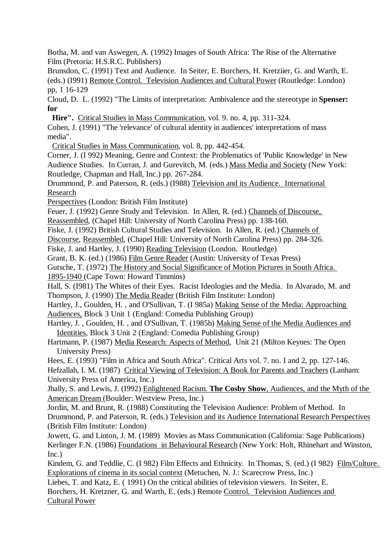Botha, M. and van Aswegen, A. (1992) Images of South Africa: The Rise of the Alternative Film (Pretoria: H.S.R.C. Publishers)

Brunsdon, C. (1991) Text and Audience. In Seiter, E. Borchers, H. Kretziier, G. and Warth, E. (eds.) (I991) Remote Control. Television Audiences and Cultural Power (Routledge: London) pp, 1 16-129

Cloud, D. L. (1992) "The Limits of interpretation: Ambivalence and the stereotype in **Spenser: for**

**Hire".** Critical Studies in Mass Communication, vol. 9. no. 4, pp. 311-324.

Cohen, J. (1991) "The 'relevance' of cultural identity in audiences' interpretations of mass media".

Critical Studies in Mass Communication, vol. 8, pp. 442-454.

Corner, J. (I 992) Meaning, Genre and Context: the Problematics of 'Public Knowledge' in New Audience Studies. In Curran, J. and Gurevitch, M. (eds.) Mass Media and Society (New York: Routledge, Chapman and Hall, Inc.) pp. 267-284.

Drummond, P. and Paterson, R. (eds.) (I988) Television and its Audience. International Research

Perspectives (London: British Film Institute)

Feuer, J. (1992) Genre Study and Television. In Allen, R. (ed.) Channels of Discourse,

Reassembled, (Chapel Hill: University of North Carolina Press) pp. 138-160.

Fiske, J. (1992) British Cultural Studies and Television. In Allen, R. (ed.) Channels of

Discourse, Reassembled, (Chapel Hill: University of North Carolina Press) pp. 284-326.

Fiske, J. and Hartley, J. (1990) Reading Television (London. Routledge)

Grant, B. K. (ed.) (1986) Film Genre Reader (Austin: University of Texas Press)

Gutsche, T. (1972) The History and Social Significance of Motion Pictures in South Africa.

1895-1940 (Cape Town: Howard Timmins)

Hall, S. (I981) The Whites of their Eyes. Racist Ideologies and the Media. In Alvarado, M. and Thompson, J. (1990) The Media Reader (British Film Institute: London)

Hartley, J., Goulden, H. , and O'Sullivan, T. (I 985a) Making Sense of the Media: Approaching Audiences, Block 3 Unit 1 (England: Comedia Publishing Group)

Hartley, J. , Goulden, H. , and O'Sullivan, T. (1985b) Making Sense of the Media Audiences and Identities, Block 3 Unit 2 (England: Comedia Publishing Group)

Hartmann, P. (1987) Media Research: Aspects of Method, Unit 21 (Milton Keynes: The Open University Press)

Hees, E. (1993) "Film in Africa and South Africa". Critical Arts vol. 7. no. I and 2, pp. 127-146.

Hefzallah, I. M. (1987) Critical Viewing of Television: A Book for Parents and Teachers (Lanham: University Press of America, Inc.)

Jhally, S. and Lewis, J. (I992) Enlightened Racism. **The Cosby Show**, Audiences, and the Myth of the American Dream (Boulder: Westview Press, Inc.)

Jordin, M. and Brunt, R. (1988) Constituting the Television Audience: Problem of Method. In Drummond, P. and Paterson, R. (eds.) Television and its Audience International Research Perspectives (British Film Institute: London)

Jowett, G. and Linton, J. M. (1989) Movies as Mass Communication (California: Sage Publications) Kerlinger F.N. (1986) Foundations in Behavioural Research (New York: Holt, Rhinehart and Winston, Inc.)

Kindem, G. and Teddlie, C. (I 982) Film Effects and Ethnicity. In Thomas, S. (ed.) (I 982) Film/Culture. Explorations of cinema in its social context (Metuchen, N. J.: Scarecrow Press, Inc.)

Liebes, T. and Katz, E. ( 1991) On the critical abilities of television viewers. In Seiter, E. Borchers, H. Kretzner, G. and Warth, E. (eds.) Remote Control. Television Audiences and

Cultural Power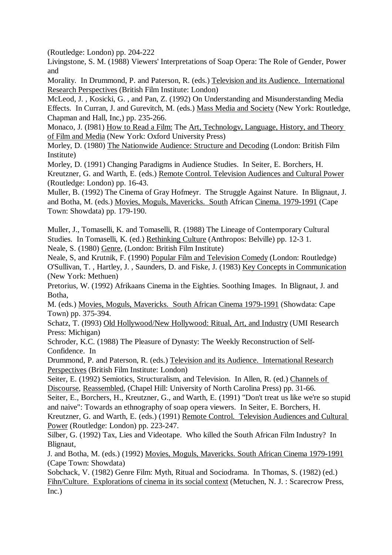(Routledge: London) pp. 204-222

Livingstone, S. M. (1988) Viewers' Interpretations of Soap Opera: The Role of Gender, Power and

Morality. In Drummond, P. and Paterson, R. (eds.) Television and its Audience. International Research Perspectives (British Film Institute: London)

McLeod, J. , Kosicki, G. , and Pan, Z. (1992) On Understanding and Misunderstanding Media Effects. In Curran, J. and Gurevitch, M. (eds.) Mass Media and Society (New York: Routledge, Chapman and Hall, Inc,) pp. 235-266.

Monaco, J. (I981) How to Read a Film: The Art, Technologv, Language, History, and Theory of Film and Media (New York: Oxford University Press)

Morley, D. (1980) The Nationwide Audience: Structure and Decoding (London: British Film Institute)

Morley, D. (1991) Changing Paradigms in Audience Studies. In Seiter, E. Borchers, H. Kreutzner, G. and Warth, E. (eds.) Remote Control. Television Audiences and Cultural Power (Routledge: London) pp. 16-43.

Muller, B. (1992) The Cinema of Gray Hofmeyr. The Struggle Against Nature. In Blignaut, J. and Botha, M. (eds.) Movies, Moguls, Mavericks. South African Cinema. 1979-1991 (Cape Town: Showdata) pp. 179-190.

Muller, J., Tomaselli, K. and Tomaselli, R. (1988) The Lineage of Contemporary Cultural Studies. In Tomaselli, K. (ed.) Rethinking Culture (Anthropos: Belville) pp. 12-3 1. Neale, S. (1980) Genre, (London: British Film Institute)

Neale, S, and Krutnik, F. (1990) Popular Film and Television Comedy (London: Routledge) O'Sullivan, T. , Hartley, J. , Saunders, D. and Fiske, J. (1983) Key Concepts in Communication (New York: Methuen)

Pretorius, W. (1992) Afrikaans Cinema in the Eighties. Soothing Images. In Blignaut, J. and Botha,

M. (eds.) Movies, Moguls, Mavericks. South African Cinema 1979-1991 (Showdata: Cape Town) pp. 375-394.

Schatz, T. (I993) Old Hollywood/New Hollywood: Ritual, Art, and Industry (UMI Research Press: Michigan)

Schroder, K.C. (1988) The Pleasure of Dynasty: The Weekly Reconstruction of Self-Confidence. In

Drummond, P. and Paterson, R. (eds.) Television and its Audience. International Research Perspectives (British Film Institute: London)

Seiter, E. (1992) Semiotics, Structuralism, and Television. In Allen, R. (ed.) Channels of Discourse, Reassembled, (Chapel Hill: University of North Carolina Press) pp. 31-66.

Seiter, E., Borchers, H., Kreutzner, G., and Warth, E. (1991) "Don't treat us like we're so stupid and naive": Towards an ethnography of soap opera viewers. In Seiter, E. Borchers, H.

Kreutzner, G. and Warth, E. (eds.) (1991) Remote Control. Television Audiences and Cultural Power (Routledge: London) pp. 223-247.

Silber, G. (1992) Tax, Lies and Videotape. Who killed the South African Film Industry? In Blignaut,

J. and Botha, M. (eds.) (1992) Movies, Moguls, Mavericks. South African Cinema 1979-1991 (Cape Town: Showdata)

Sobchack, V. (1982) Genre Film: Myth, Ritual and Sociodrama. In Thomas, S. (1982) (ed.) Fihn/Culture. Explorations of cinema in its social context (Metuchen, N. J. : Scarecrow Press, Inc.)